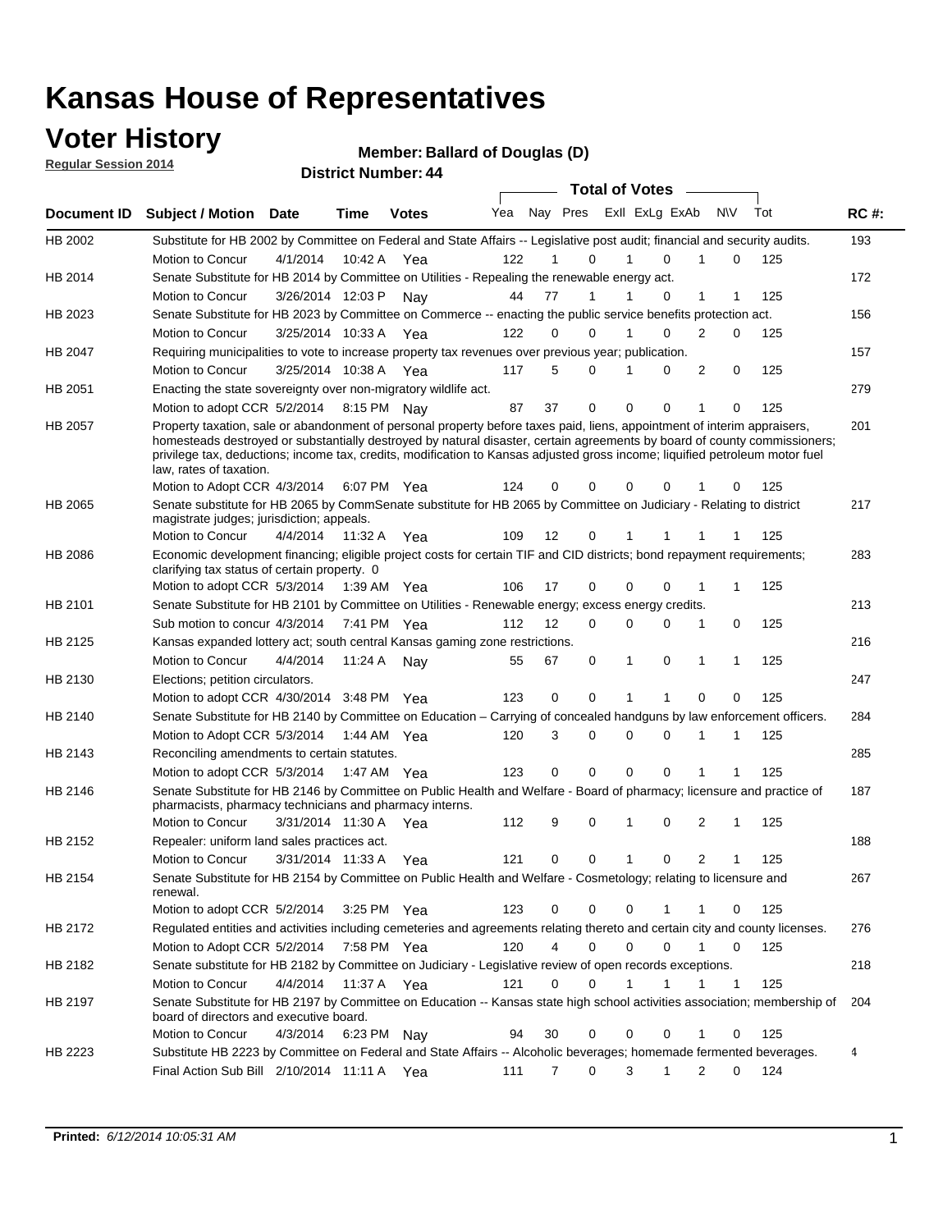### **Voter History**

**Regular Session 2014**

#### **Member: Ballard of Douglas (D)**

|             |                                                                                                                                                                                                                                                                                                                                                                                                                  |                       |             | ד <del>ויי, וס</del> עווווט <del>פו וע</del> ונוסוט |     |                   |        | <b>Total of Votes</b>   |    |                              |     |             |
|-------------|------------------------------------------------------------------------------------------------------------------------------------------------------------------------------------------------------------------------------------------------------------------------------------------------------------------------------------------------------------------------------------------------------------------|-----------------------|-------------|-----------------------------------------------------|-----|-------------------|--------|-------------------------|----|------------------------------|-----|-------------|
| Document ID | <b>Subject / Motion Date</b>                                                                                                                                                                                                                                                                                                                                                                                     |                       | <b>Time</b> | <b>Votes</b>                                        | Yea |                   |        | Nay Pres Exll ExLg ExAb |    | N\V                          | Tot | <b>RC#:</b> |
| HB 2002     | Substitute for HB 2002 by Committee on Federal and State Affairs -- Legislative post audit; financial and security audits.                                                                                                                                                                                                                                                                                       |                       |             |                                                     |     |                   |        |                         |    |                              |     | 193         |
|             | Motion to Concur                                                                                                                                                                                                                                                                                                                                                                                                 | 4/1/2014              | 10:42 A     | Yea                                                 | 122 |                   | 0      | $\Omega$                |    | 0                            | 125 |             |
| HB 2014     | Senate Substitute for HB 2014 by Committee on Utilities - Repealing the renewable energy act.                                                                                                                                                                                                                                                                                                                    |                       |             |                                                     |     |                   |        |                         |    |                              |     | 172         |
|             | Motion to Concur                                                                                                                                                                                                                                                                                                                                                                                                 | 3/26/2014 12:03 P     |             | Nav                                                 | 44  | 77                | 1      | 0                       |    | 1<br>1                       | 125 |             |
| HB 2023     | Senate Substitute for HB 2023 by Committee on Commerce -- enacting the public service benefits protection act.                                                                                                                                                                                                                                                                                                   |                       |             |                                                     |     |                   |        |                         |    |                              |     | 156         |
|             | Motion to Concur                                                                                                                                                                                                                                                                                                                                                                                                 | 3/25/2014 10:33 A Yea |             |                                                     | 122 | $\Omega$          | 0      | $\Omega$                |    | 2<br>0                       | 125 |             |
| HB 2047     | Requiring municipalities to vote to increase property tax revenues over previous year; publication.                                                                                                                                                                                                                                                                                                              |                       |             |                                                     |     |                   |        |                         |    |                              |     | 157         |
|             | Motion to Concur                                                                                                                                                                                                                                                                                                                                                                                                 | 3/25/2014 10:38 A Yea |             |                                                     | 117 | 5                 | 0      | 0                       |    | 2<br>0                       | 125 |             |
| HB 2051     | Enacting the state sovereignty over non-migratory wildlife act.                                                                                                                                                                                                                                                                                                                                                  |                       |             |                                                     |     |                   |        |                         |    |                              |     | 279         |
|             | Motion to adopt CCR 5/2/2014 8:15 PM Nay                                                                                                                                                                                                                                                                                                                                                                         |                       |             |                                                     | 87  | 37                | 0      | 0<br>0                  | -1 | 0                            | 125 |             |
| HB 2057     | Property taxation, sale or abandonment of personal property before taxes paid, liens, appointment of interim appraisers,<br>homesteads destroyed or substantially destroyed by natural disaster, certain agreements by board of county commissioners;<br>privilege tax, deductions; income tax, credits, modification to Kansas adjusted gross income; liquified petroleum motor fuel<br>law, rates of taxation. |                       |             |                                                     |     |                   |        |                         |    |                              |     | 201         |
|             | Motion to Adopt CCR 4/3/2014                                                                                                                                                                                                                                                                                                                                                                                     |                       |             | 6:07 PM Yea                                         | 124 | 0                 | 0      | 0<br>0                  |    | 0                            | 125 |             |
| HB 2065     | Senate substitute for HB 2065 by CommSenate substitute for HB 2065 by Committee on Judiciary - Relating to district<br>magistrate judges; jurisdiction; appeals.                                                                                                                                                                                                                                                 |                       |             |                                                     |     |                   |        |                         |    |                              |     | 217         |
|             | Motion to Concur                                                                                                                                                                                                                                                                                                                                                                                                 | 4/4/2014              | 11:32 A     | Yea                                                 | 109 | 12                | 0      | 1<br>1                  |    | 1                            | 125 |             |
| HB 2086     | Economic development financing; eligible project costs for certain TIF and CID districts; bond repayment requirements;<br>clarifying tax status of certain property. 0                                                                                                                                                                                                                                           |                       |             |                                                     |     |                   |        |                         |    |                              |     | 283         |
|             | Motion to adopt CCR 5/3/2014                                                                                                                                                                                                                                                                                                                                                                                     |                       | 1:39 AM Yea |                                                     | 106 | 17                | 0      | 0<br>$\Omega$           | 1  | 1                            | 125 |             |
| HB 2101     | Senate Substitute for HB 2101 by Committee on Utilities - Renewable energy; excess energy credits.                                                                                                                                                                                                                                                                                                               |                       |             |                                                     |     |                   |        |                         |    |                              |     | 213         |
|             | Sub motion to concur 4/3/2014                                                                                                                                                                                                                                                                                                                                                                                    |                       |             | 7:41 PM Yea                                         | 112 | $12 \overline{ }$ | 0      | 0<br>$\mathbf 0$        | 1  | 0                            | 125 |             |
| HB 2125     | Kansas expanded lottery act; south central Kansas gaming zone restrictions.                                                                                                                                                                                                                                                                                                                                      |                       |             |                                                     |     |                   |        |                         |    |                              |     | 216         |
|             | Motion to Concur                                                                                                                                                                                                                                                                                                                                                                                                 | 4/4/2014              | 11:24 A     | Nav                                                 | 55  | 67                | 0      | 1<br>0                  |    | $\mathbf{1}$<br>$\mathbf{1}$ | 125 |             |
| HB 2130     | Elections; petition circulators.                                                                                                                                                                                                                                                                                                                                                                                 |                       |             |                                                     |     |                   |        |                         |    |                              |     | 247         |
|             | Motion to adopt CCR 4/30/2014 3:48 PM Yea                                                                                                                                                                                                                                                                                                                                                                        |                       |             |                                                     | 123 | 0                 | 0      | 1                       |    | 0<br>0                       | 125 |             |
| HB 2140     | Senate Substitute for HB 2140 by Committee on Education – Carrying of concealed handguns by law enforcement officers.                                                                                                                                                                                                                                                                                            |                       |             |                                                     |     |                   |        |                         |    |                              |     | 284         |
|             | Motion to Adopt CCR 5/3/2014                                                                                                                                                                                                                                                                                                                                                                                     |                       |             | 1:44 AM Yea                                         | 120 | 3                 | 0      | 0<br>0                  | -1 | 1                            | 125 |             |
| HB 2143     | Reconciling amendments to certain statutes.                                                                                                                                                                                                                                                                                                                                                                      |                       |             |                                                     |     |                   |        |                         |    |                              |     | 285         |
|             | Motion to adopt CCR 5/3/2014                                                                                                                                                                                                                                                                                                                                                                                     |                       | 1:47 AM Yea |                                                     | 123 | 0                 | 0      | 0<br>0                  |    | 1<br>1                       | 125 |             |
| HB 2146     | Senate Substitute for HB 2146 by Committee on Public Health and Welfare - Board of pharmacy; licensure and practice of<br>pharmacists, pharmacy technicians and pharmacy interns.                                                                                                                                                                                                                                |                       |             |                                                     |     |                   |        |                         |    |                              |     | 187         |
|             | Motion to Concur                                                                                                                                                                                                                                                                                                                                                                                                 | 3/31/2014 11:30 A     |             | Yea                                                 | 112 | 9                 | 0      | 0<br>1                  |    | 2<br>1                       | 125 |             |
| HB 2152     | Repealer: uniform land sales practices act.                                                                                                                                                                                                                                                                                                                                                                      |                       |             |                                                     |     |                   |        |                         |    |                              |     | 188         |
|             | Motion to Concur                                                                                                                                                                                                                                                                                                                                                                                                 | 3/31/2014 11:33 A     |             | Yea                                                 | 121 | 0                 | 0      | 1<br>0                  |    | 2<br>1                       | 125 |             |
| HB 2154     | Senate Substitute for HB 2154 by Committee on Public Health and Welfare - Cosmetology; relating to licensure and<br>renewal.                                                                                                                                                                                                                                                                                     |                       |             |                                                     |     |                   |        |                         |    |                              |     | 267         |
|             | Motion to adopt CCR 5/2/2014 3:25 PM Yea                                                                                                                                                                                                                                                                                                                                                                         |                       |             |                                                     | 123 | 0                 | 0      | 0<br>1                  |    | 0<br>1                       | 125 |             |
| HB 2172     | Regulated entities and activities including cemeteries and agreements relating thereto and certain city and county licenses.                                                                                                                                                                                                                                                                                     |                       |             |                                                     |     |                   |        |                         |    |                              |     | 276         |
|             | Motion to Adopt CCR 5/2/2014                                                                                                                                                                                                                                                                                                                                                                                     |                       |             | 7:58 PM Yea                                         | 120 |                   | 4<br>0 | 0<br>$\Omega$           |    | $\mathbf{1}$<br>0            | 125 |             |
| HB 2182     | Senate substitute for HB 2182 by Committee on Judiciary - Legislative review of open records exceptions.                                                                                                                                                                                                                                                                                                         |                       |             |                                                     |     |                   |        |                         |    |                              |     | 218         |
|             | Motion to Concur                                                                                                                                                                                                                                                                                                                                                                                                 | 4/4/2014              | 11:37 A Yea |                                                     | 121 | 0                 | 0      | 1<br>1                  |    | $\mathbf{1}$<br>$\mathbf{1}$ | 125 |             |
| HB 2197     | Senate Substitute for HB 2197 by Committee on Education -- Kansas state high school activities association; membership of<br>board of directors and executive board.                                                                                                                                                                                                                                             |                       |             |                                                     |     |                   |        |                         |    |                              |     | 204         |
|             | Motion to Concur                                                                                                                                                                                                                                                                                                                                                                                                 | 4/3/2014              |             | 6:23 PM Nay                                         | 94  | 30                | 0      | 0<br>0                  |    | 0<br>1                       | 125 |             |
| HB 2223     | Substitute HB 2223 by Committee on Federal and State Affairs -- Alcoholic beverages; homemade fermented beverages.                                                                                                                                                                                                                                                                                               |                       |             |                                                     |     |                   |        |                         |    |                              |     | 4           |
|             | Final Action Sub Bill 2/10/2014 11:11 A Yea                                                                                                                                                                                                                                                                                                                                                                      |                       |             |                                                     | 111 | 7                 | 0      | 3<br>1                  |    | 2<br>0                       | 124 |             |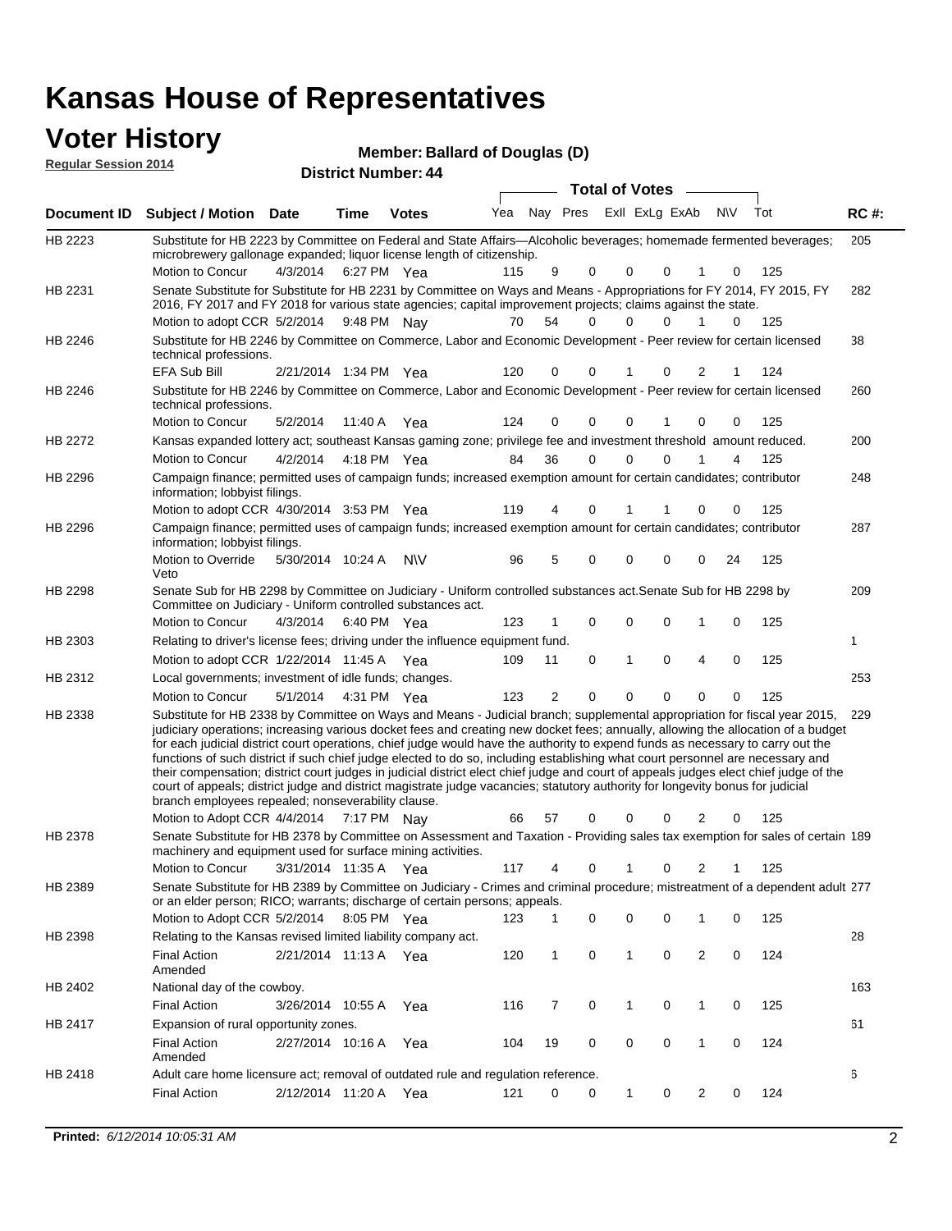#### **Voter History**

| <b>VULGE LIBERTY</b><br><b>Regular Session 2014</b> |                                                                                                                                                                                                                                           |                            | Member: Ballard of Douglas (D) |  |  |                                 |     |             |
|-----------------------------------------------------|-------------------------------------------------------------------------------------------------------------------------------------------------------------------------------------------------------------------------------------------|----------------------------|--------------------------------|--|--|---------------------------------|-----|-------------|
|                                                     |                                                                                                                                                                                                                                           | <b>District Number: 44</b> |                                |  |  | <b>Total of Votes</b>           |     |             |
|                                                     | Document ID Subject / Motion Date                                                                                                                                                                                                         | Time                       | <b>Votes</b>                   |  |  | Yea Nay Pres ExII ExLg ExAb N\V | Tot | <b>RC#:</b> |
| HB 2223                                             | Substitute for HB 2223 by Committee on Federal and State Affairs—Alcoholic beverages; homemade fermented beverages;<br>and conclusions in an interest of the concentration of the concentration of the concentration of the concentration |                            |                                |  |  |                                 |     | 205         |

| HB 2223 | Substitute for HB 2223 by Committee on Federal and State Affairs—Alcoholic beverages; homemade fermented beverages;<br>microbrewery gallonage expanded; liquor license length of citizenship.                                                                                                                                                                                                                                                                                                                                                                                                                                                                                                                                                                                                                                                                       |                        |             |           |     |                |             |              |          |                |    |     | 205 |
|---------|---------------------------------------------------------------------------------------------------------------------------------------------------------------------------------------------------------------------------------------------------------------------------------------------------------------------------------------------------------------------------------------------------------------------------------------------------------------------------------------------------------------------------------------------------------------------------------------------------------------------------------------------------------------------------------------------------------------------------------------------------------------------------------------------------------------------------------------------------------------------|------------------------|-------------|-----------|-----|----------------|-------------|--------------|----------|----------------|----|-----|-----|
|         | Motion to Concur                                                                                                                                                                                                                                                                                                                                                                                                                                                                                                                                                                                                                                                                                                                                                                                                                                                    | 4/3/2014               | 6:27 PM Yea |           | 115 | 9              | 0           | $\Omega$     | 0        | 1              | 0  | 125 |     |
| HB 2231 | Senate Substitute for Substitute for HB 2231 by Committee on Ways and Means - Appropriations for FY 2014, FY 2015, FY<br>2016, FY 2017 and FY 2018 for various state agencies; capital improvement projects; claims against the state.                                                                                                                                                                                                                                                                                                                                                                                                                                                                                                                                                                                                                              |                        |             |           |     |                |             |              |          |                |    |     | 282 |
|         | Motion to adopt CCR 5/2/2014                                                                                                                                                                                                                                                                                                                                                                                                                                                                                                                                                                                                                                                                                                                                                                                                                                        |                        | 9:48 PM Nay |           | 70  | 54             | $\Omega$    | <sup>0</sup> | 0        |                | 0  | 125 |     |
| HB 2246 | Substitute for HB 2246 by Committee on Commerce, Labor and Economic Development - Peer review for certain licensed<br>technical professions.                                                                                                                                                                                                                                                                                                                                                                                                                                                                                                                                                                                                                                                                                                                        |                        |             |           |     |                |             |              |          |                |    |     | 38  |
|         | EFA Sub Bill                                                                                                                                                                                                                                                                                                                                                                                                                                                                                                                                                                                                                                                                                                                                                                                                                                                        | 2/21/2014 1:34 PM Yea  |             |           | 120 | 0              | 0           |              | 0        | 2              |    | 124 |     |
| HB 2246 | Substitute for HB 2246 by Committee on Commerce, Labor and Economic Development - Peer review for certain licensed<br>technical professions.                                                                                                                                                                                                                                                                                                                                                                                                                                                                                                                                                                                                                                                                                                                        |                        |             |           |     |                |             |              |          |                |    |     | 260 |
|         | Motion to Concur                                                                                                                                                                                                                                                                                                                                                                                                                                                                                                                                                                                                                                                                                                                                                                                                                                                    | 5/2/2014               | 11:40 A Yea |           | 124 | 0              | 0           | 0            | 1        | 0              | 0  | 125 |     |
| HB 2272 | Kansas expanded lottery act; southeast Kansas gaming zone; privilege fee and investment threshold amount reduced.                                                                                                                                                                                                                                                                                                                                                                                                                                                                                                                                                                                                                                                                                                                                                   |                        |             |           |     |                |             |              |          |                |    |     | 200 |
|         | Motion to Concur                                                                                                                                                                                                                                                                                                                                                                                                                                                                                                                                                                                                                                                                                                                                                                                                                                                    | 4/2/2014  4:18 PM  Yea |             |           | 84  | 36             | 0           | 0            | $\Omega$ | 1              | 4  | 125 |     |
| HB 2296 | Campaign finance; permitted uses of campaign funds; increased exemption amount for certain candidates; contributor<br>information; lobbyist filings.                                                                                                                                                                                                                                                                                                                                                                                                                                                                                                                                                                                                                                                                                                                |                        |             |           |     |                |             |              |          |                |    |     | 248 |
|         | Motion to adopt CCR 4/30/2014 3:53 PM Yea                                                                                                                                                                                                                                                                                                                                                                                                                                                                                                                                                                                                                                                                                                                                                                                                                           |                        |             |           | 119 | 4              | 0           |              | 1        | 0              | 0  | 125 |     |
| HB 2296 | Campaign finance; permitted uses of campaign funds; increased exemption amount for certain candidates; contributor<br>information; lobbyist filings.                                                                                                                                                                                                                                                                                                                                                                                                                                                                                                                                                                                                                                                                                                                |                        |             |           |     |                |             |              |          |                |    |     | 287 |
|         | Motion to Override<br>Veto                                                                                                                                                                                                                                                                                                                                                                                                                                                                                                                                                                                                                                                                                                                                                                                                                                          | 5/30/2014 10:24 A      |             | <b>NV</b> | 96  | 5              | 0           | $\mathbf 0$  | 0        | 0              | 24 | 125 |     |
| HB 2298 | Senate Sub for HB 2298 by Committee on Judiciary - Uniform controlled substances act. Senate Sub for HB 2298 by<br>Committee on Judiciary - Uniform controlled substances act.                                                                                                                                                                                                                                                                                                                                                                                                                                                                                                                                                                                                                                                                                      |                        |             |           |     |                |             |              |          |                |    |     | 209 |
|         | Motion to Concur                                                                                                                                                                                                                                                                                                                                                                                                                                                                                                                                                                                                                                                                                                                                                                                                                                                    | 4/3/2014               | 6:40 PM Yea |           | 123 | 1              | 0           | 0            | 0        | 1              | 0  | 125 |     |
| HB 2303 | Relating to driver's license fees; driving under the influence equipment fund.                                                                                                                                                                                                                                                                                                                                                                                                                                                                                                                                                                                                                                                                                                                                                                                      |                        |             |           |     |                |             |              |          |                |    |     | 1   |
|         | Motion to adopt CCR 1/22/2014 11:45 A Yea                                                                                                                                                                                                                                                                                                                                                                                                                                                                                                                                                                                                                                                                                                                                                                                                                           |                        |             |           | 109 | 11             | 0           | 1            | 0        | 4              | 0  | 125 |     |
| HB 2312 | Local governments; investment of idle funds; changes.                                                                                                                                                                                                                                                                                                                                                                                                                                                                                                                                                                                                                                                                                                                                                                                                               |                        |             |           |     |                |             |              |          |                |    |     | 253 |
|         | Motion to Concur                                                                                                                                                                                                                                                                                                                                                                                                                                                                                                                                                                                                                                                                                                                                                                                                                                                    | 5/1/2014               | 4:31 PM Yea |           | 123 | $\overline{2}$ | $\mathbf 0$ | 0            | 0        | 0              | 0  | 125 |     |
| HB 2338 | Substitute for HB 2338 by Committee on Ways and Means - Judicial branch; supplemental appropriation for fiscal year 2015,<br>judiciary operations; increasing various docket fees and creating new docket fees; annually, allowing the allocation of a budget<br>for each judicial district court operations, chief judge would have the authority to expend funds as necessary to carry out the<br>functions of such district if such chief judge elected to do so, including establishing what court personnel are necessary and<br>their compensation; district court judges in judicial district elect chief judge and court of appeals judges elect chief judge of the<br>court of appeals; district judge and district magistrate judge vacancies; statutory authority for longevity bonus for judicial<br>branch employees repealed; nonseverability clause. |                        |             |           |     |                |             |              |          |                |    |     | 229 |
|         | Motion to Adopt CCR 4/4/2014 7:17 PM Nay                                                                                                                                                                                                                                                                                                                                                                                                                                                                                                                                                                                                                                                                                                                                                                                                                            |                        |             |           | 66  | 57             | 0           | 0            | 0        | $\overline{2}$ | 0  | 125 |     |
| HB 2378 | Senate Substitute for HB 2378 by Committee on Assessment and Taxation - Providing sales tax exemption for sales of certain 189<br>machinery and equipment used for surface mining activities.<br>Motion to Concur                                                                                                                                                                                                                                                                                                                                                                                                                                                                                                                                                                                                                                                   | 3/31/2014 11:35 A Yea  |             |           | 117 | 4              | 0           | 1            | 0        | 2              | 1  | 125 |     |
|         |                                                                                                                                                                                                                                                                                                                                                                                                                                                                                                                                                                                                                                                                                                                                                                                                                                                                     |                        |             |           |     |                |             |              |          |                |    |     |     |
| HB 2389 | Senate Substitute for HB 2389 by Committee on Judiciary - Crimes and criminal procedure; mistreatment of a dependent adult 277<br>or an elder person; RICO; warrants; discharge of certain persons; appeals.<br>Motion to Adopt CCR 5/2/2014                                                                                                                                                                                                                                                                                                                                                                                                                                                                                                                                                                                                                        |                        | 8:05 PM Yea |           | 123 | -1             | 0           | 0            | 0        | 1              | 0  | 125 |     |
| HB 2398 | Relating to the Kansas revised limited liability company act.                                                                                                                                                                                                                                                                                                                                                                                                                                                                                                                                                                                                                                                                                                                                                                                                       |                        |             |           |     |                |             |              |          |                |    |     | 28  |
|         | Final Action<br>Amended                                                                                                                                                                                                                                                                                                                                                                                                                                                                                                                                                                                                                                                                                                                                                                                                                                             | 2/21/2014 11:13 A Yea  |             |           | 120 | $\mathbf{1}$   | 0           | $\mathbf{1}$ | 0        | 2              | 0  | 124 |     |
| HB 2402 | National day of the cowboy.                                                                                                                                                                                                                                                                                                                                                                                                                                                                                                                                                                                                                                                                                                                                                                                                                                         |                        |             |           |     |                |             |              |          |                |    |     | 163 |
|         | Final Action                                                                                                                                                                                                                                                                                                                                                                                                                                                                                                                                                                                                                                                                                                                                                                                                                                                        | 3/26/2014 10:55 A      |             | Yea       | 116 | 7              | 0           | 1            | 0        | $\mathbf{1}$   | 0  | 125 |     |
| HB 2417 | Expansion of rural opportunity zones.                                                                                                                                                                                                                                                                                                                                                                                                                                                                                                                                                                                                                                                                                                                                                                                                                               |                        |             |           |     |                |             |              |          |                |    |     | 61  |
|         | <b>Final Action</b><br>Amended                                                                                                                                                                                                                                                                                                                                                                                                                                                                                                                                                                                                                                                                                                                                                                                                                                      | 2/27/2014 10:16 A      |             | Yea       | 104 | 19             | 0           | 0            | 0        | $\mathbf{1}$   | 0  | 124 |     |
| HB 2418 | Adult care home licensure act; removal of outdated rule and regulation reference.                                                                                                                                                                                                                                                                                                                                                                                                                                                                                                                                                                                                                                                                                                                                                                                   |                        |             |           |     |                |             |              |          |                |    |     | 6   |
|         | <b>Final Action</b>                                                                                                                                                                                                                                                                                                                                                                                                                                                                                                                                                                                                                                                                                                                                                                                                                                                 | 2/12/2014 11:20 A Yea  |             |           | 121 | 0              | 0           | $\mathbf{1}$ | 0        | $\overline{2}$ | 0  | 124 |     |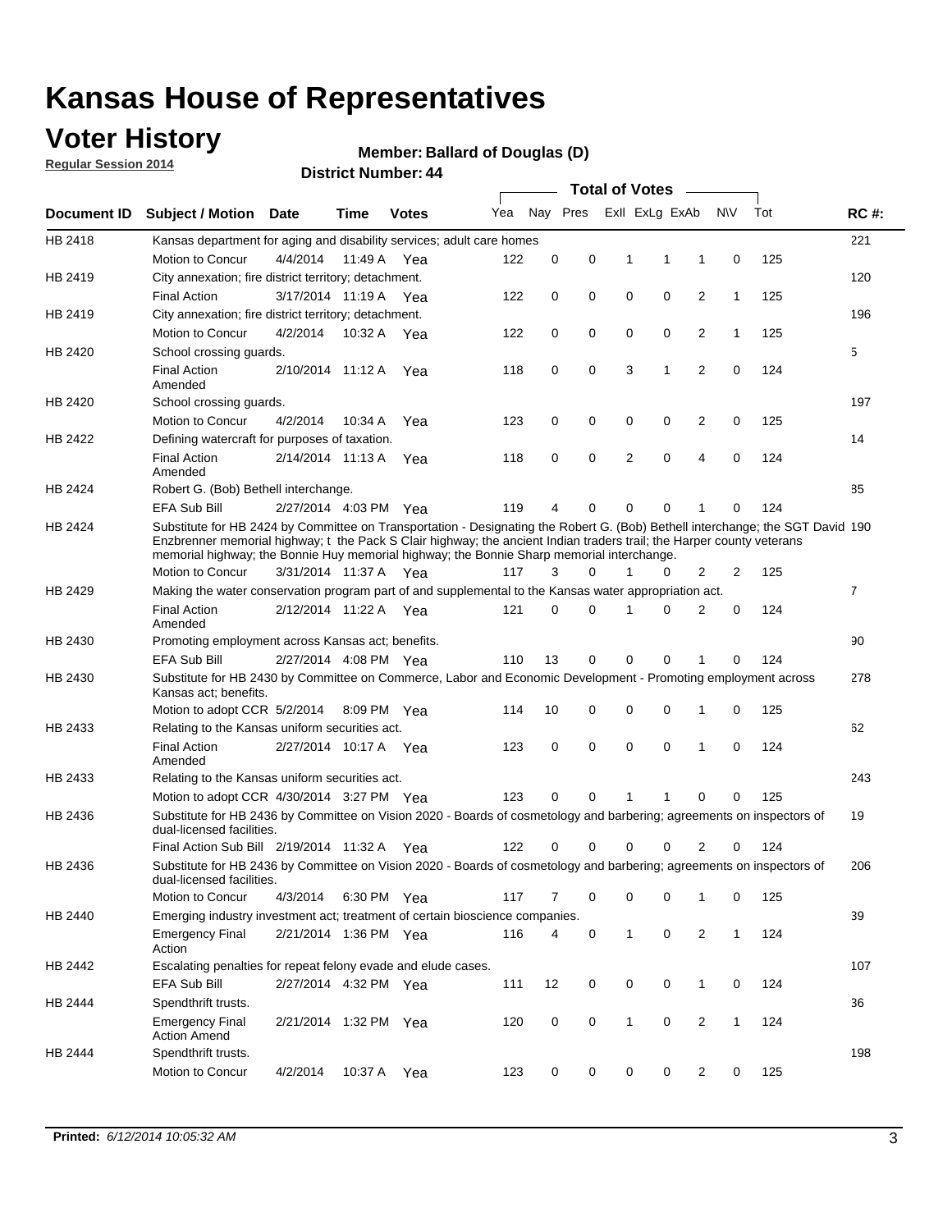### **Voter History**

**Regular Session 2014**

#### **Member: Ballard of Douglas (D)**

|             |                                                                                                                                                                                                                                                                                                                                                      |                       |         | ד <del>יי</del> . וסעווווטדו טווען |     |             |   |              | <b>Total of Votes</b>   | $\sim$         |              |     |                |
|-------------|------------------------------------------------------------------------------------------------------------------------------------------------------------------------------------------------------------------------------------------------------------------------------------------------------------------------------------------------------|-----------------------|---------|------------------------------------|-----|-------------|---|--------------|-------------------------|----------------|--------------|-----|----------------|
| Document ID | <b>Subject / Motion Date</b>                                                                                                                                                                                                                                                                                                                         |                       | Time    | <b>Votes</b>                       | Yea |             |   |              | Nay Pres ExII ExLg ExAb |                | <b>NV</b>    | Tot | <b>RC#:</b>    |
| HB 2418     | Kansas department for aging and disability services; adult care homes                                                                                                                                                                                                                                                                                |                       |         |                                    |     |             |   |              |                         |                |              |     | 221            |
|             | Motion to Concur                                                                                                                                                                                                                                                                                                                                     | 4/4/2014              | 11:49 A | Yea                                | 122 | 0           | 0 | 1            | 1                       | 1              | 0            | 125 |                |
| HB 2419     | City annexation; fire district territory; detachment.                                                                                                                                                                                                                                                                                                |                       |         |                                    |     |             |   |              |                         |                |              |     | 120            |
|             | <b>Final Action</b>                                                                                                                                                                                                                                                                                                                                  | 3/17/2014 11:19 A Yea |         |                                    | 122 | 0           | 0 | $\mathbf 0$  | 0                       | $\overline{2}$ | $\mathbf{1}$ | 125 |                |
| HB 2419     | City annexation; fire district territory; detachment.                                                                                                                                                                                                                                                                                                |                       |         |                                    |     |             |   |              |                         |                |              |     | 196            |
|             | Motion to Concur                                                                                                                                                                                                                                                                                                                                     | 4/2/2014              |         | 10:32 A Yea                        | 122 | 0           | 0 | 0            | 0                       | 2              | $\mathbf{1}$ | 125 |                |
| HB 2420     | School crossing quards.                                                                                                                                                                                                                                                                                                                              |                       |         |                                    |     |             |   |              |                         |                |              |     | 5              |
|             | <b>Final Action</b><br>Amended                                                                                                                                                                                                                                                                                                                       | 2/10/2014 11:12 A     |         | Yea                                | 118 | 0           | 0 | 3            | 1                       | 2              | 0            | 124 |                |
| HB 2420     | School crossing guards.                                                                                                                                                                                                                                                                                                                              |                       |         |                                    |     |             |   |              |                         |                |              |     | 197            |
|             | Motion to Concur                                                                                                                                                                                                                                                                                                                                     | 4/2/2014              | 10:34 A | Yea                                | 123 | 0           | 0 | 0            | 0                       | 2              | 0            | 125 |                |
| HB 2422     | Defining watercraft for purposes of taxation.                                                                                                                                                                                                                                                                                                        |                       |         |                                    |     |             |   |              |                         |                |              |     | 14             |
|             | <b>Final Action</b><br>Amended                                                                                                                                                                                                                                                                                                                       | 2/14/2014 11:13 A     |         | Yea                                | 118 | 0           | 0 | 2            | 0                       | 4              | $\mathbf 0$  | 124 |                |
| HB 2424     | Robert G. (Bob) Bethell interchange.                                                                                                                                                                                                                                                                                                                 |                       |         |                                    |     |             |   |              |                         |                |              |     | 85             |
|             | EFA Sub Bill                                                                                                                                                                                                                                                                                                                                         | 2/27/2014 4:03 PM Yea |         |                                    | 119 | 4           | 0 | 0            | 0                       | 1              | 0            | 124 |                |
| HB 2424     | Substitute for HB 2424 by Committee on Transportation - Designating the Robert G. (Bob) Bethell interchange; the SGT David 190<br>Enzbrenner memorial highway; t the Pack S Clair highway; the ancient Indian traders trail; the Harper county veterans<br>memorial highway; the Bonnie Huy memorial highway; the Bonnie Sharp memorial interchange. |                       |         |                                    |     |             |   |              |                         |                |              |     |                |
|             | Motion to Concur                                                                                                                                                                                                                                                                                                                                     | 3/31/2014 11:37 A     |         | Yea                                | 117 | 3           | 0 | 1            | 0                       | 2              | 2            | 125 |                |
| HB 2429     | Making the water conservation program part of and supplemental to the Kansas water appropriation act.                                                                                                                                                                                                                                                |                       |         |                                    |     |             |   |              |                         |                |              |     | $\overline{7}$ |
|             | <b>Final Action</b><br>Amended                                                                                                                                                                                                                                                                                                                       | 2/12/2014 11:22 A     |         | Yea                                | 121 | $\mathbf 0$ | 0 | 1            | $\Omega$                | $\overline{2}$ | 0            | 124 |                |
| HB 2430     | Promoting employment across Kansas act; benefits.                                                                                                                                                                                                                                                                                                    |                       |         |                                    |     |             |   |              |                         |                |              |     | 90             |
|             | EFA Sub Bill                                                                                                                                                                                                                                                                                                                                         | 2/27/2014 4:08 PM Yea |         |                                    | 110 | 13          | 0 | 0            | 0                       | 1              | 0            | 124 |                |
| HB 2430     | Substitute for HB 2430 by Committee on Commerce, Labor and Economic Development - Promoting employment across<br>Kansas act; benefits.                                                                                                                                                                                                               |                       |         |                                    |     |             |   |              |                         |                |              |     | 278            |
|             | Motion to adopt CCR 5/2/2014 8:09 PM Yea                                                                                                                                                                                                                                                                                                             |                       |         |                                    | 114 | 10          | 0 | 0            | 0                       | 1              | $\mathbf 0$  | 125 |                |
| HB 2433     | Relating to the Kansas uniform securities act.                                                                                                                                                                                                                                                                                                       |                       |         |                                    |     |             |   |              |                         |                |              |     | 62             |
|             | <b>Final Action</b><br>Amended                                                                                                                                                                                                                                                                                                                       | 2/27/2014 10:17 A Yea |         |                                    | 123 | 0           | 0 | $\mathbf 0$  | $\mathbf 0$             | 1              | $\mathbf 0$  | 124 |                |
| HB 2433     | Relating to the Kansas uniform securities act.                                                                                                                                                                                                                                                                                                       |                       |         |                                    |     |             |   |              |                         |                |              |     | 243            |
|             | Motion to adopt CCR 4/30/2014 3:27 PM Yea                                                                                                                                                                                                                                                                                                            |                       |         |                                    | 123 | 0           | 0 | 1            | 1                       | 0              | 0            | 125 |                |
| HB 2436     | Substitute for HB 2436 by Committee on Vision 2020 - Boards of cosmetology and barbering; agreements on inspectors of<br>dual-licensed facilities.                                                                                                                                                                                                   |                       |         |                                    |     |             |   |              |                         |                |              |     | 19             |
|             | Final Action Sub Bill 2/19/2014 11:32 A                                                                                                                                                                                                                                                                                                              |                       |         | Yea                                | 122 | 0           | 0 | 0            | 0                       | 2              | 0            | 124 |                |
| HB 2436     | Substitute for HB 2436 by Committee on Vision 2020 - Boards of cosmetology and barbering; agreements on inspectors of<br>dual-licensed facilities.                                                                                                                                                                                                   |                       |         |                                    |     |             |   |              |                         |                |              |     | 206            |
|             | Motion to Concur                                                                                                                                                                                                                                                                                                                                     | 4/3/2014              |         | 6:30 PM Yea                        | 117 | 7           | 0 | 0            | 0                       | 1              | 0            | 125 |                |
| HB 2440     | Emerging industry investment act; treatment of certain bioscience companies.                                                                                                                                                                                                                                                                         |                       |         |                                    |     |             |   |              |                         |                |              |     | 39             |
|             | <b>Emergency Final</b><br>Action                                                                                                                                                                                                                                                                                                                     | 2/21/2014 1:36 PM Yea |         |                                    | 116 | 4           | 0 | $\mathbf{1}$ | 0                       | 2              | $\mathbf{1}$ | 124 |                |
| HB 2442     | Escalating penalties for repeat felony evade and elude cases.                                                                                                                                                                                                                                                                                        |                       |         |                                    |     |             |   |              |                         |                |              |     | 107            |
|             | EFA Sub Bill                                                                                                                                                                                                                                                                                                                                         | 2/27/2014 4:32 PM Yea |         |                                    | 111 | 12          | 0 | 0            | 0                       | $\mathbf{1}$   | 0            | 124 |                |
| HB 2444     | Spendthrift trusts.                                                                                                                                                                                                                                                                                                                                  |                       |         |                                    |     |             |   |              |                         |                |              |     | 36             |
|             | <b>Emergency Final</b><br><b>Action Amend</b>                                                                                                                                                                                                                                                                                                        | 2/21/2014 1:32 PM Yea |         |                                    | 120 | 0           | 0 | 1            | 0                       | 2              | 1            | 124 |                |
| HB 2444     | Spendthrift trusts.                                                                                                                                                                                                                                                                                                                                  |                       |         |                                    |     |             |   |              |                         |                |              |     | 198            |
|             | Motion to Concur                                                                                                                                                                                                                                                                                                                                     | 4/2/2014              | 10:37 A | Yea                                | 123 | 0           | 0 | 0            | 0                       | $\overline{2}$ | 0            | 125 |                |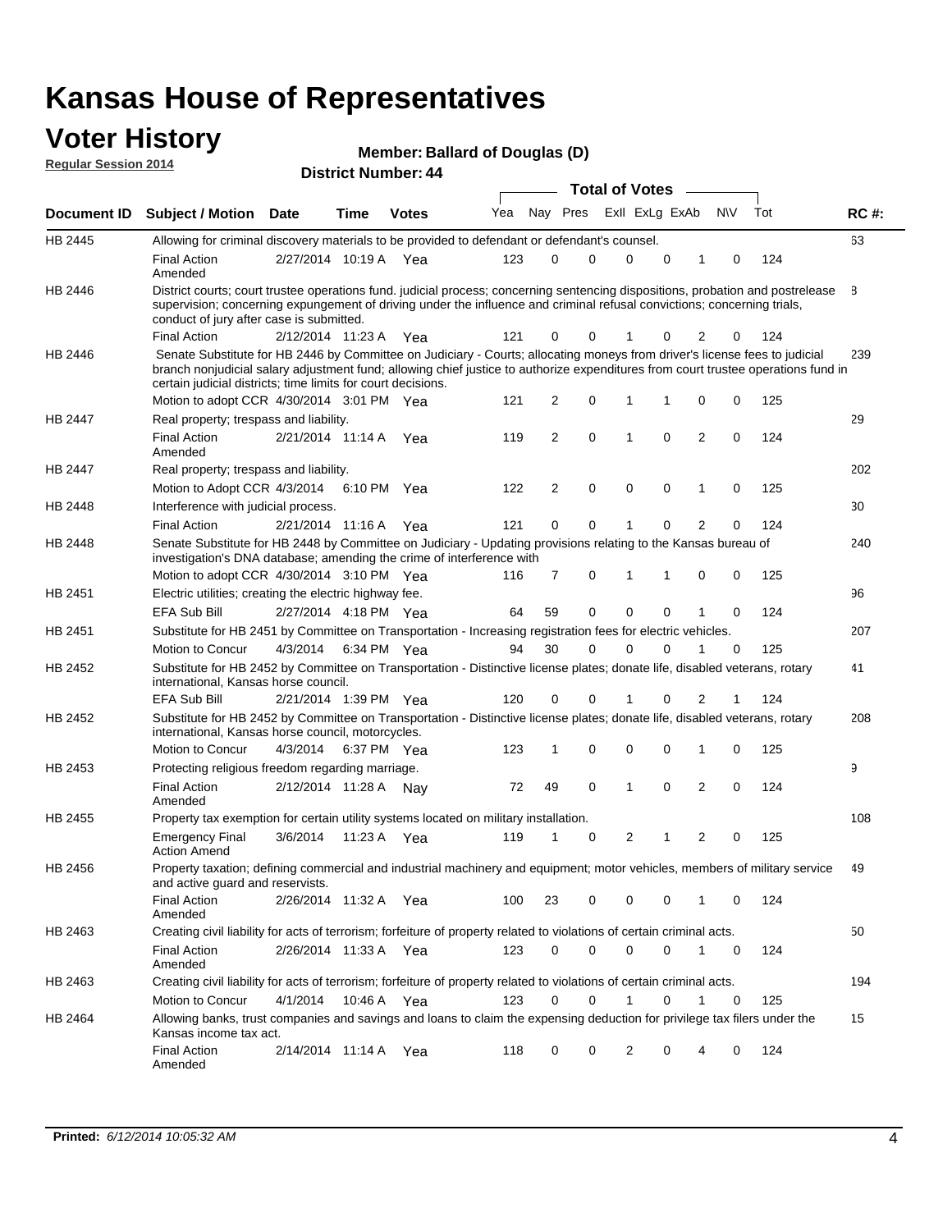#### **Voter History Regular Session 2014**

|  |  | Member: Ballard of Douglas (D) |  |
|--|--|--------------------------------|--|
|--|--|--------------------------------|--|

|                    |                                                                                                                                                                                                                                                                                                                                 |                       |      |              |     |          |          |   | <b>Total of Votes</b> |             |                |             |     |             |
|--------------------|---------------------------------------------------------------------------------------------------------------------------------------------------------------------------------------------------------------------------------------------------------------------------------------------------------------------------------|-----------------------|------|--------------|-----|----------|----------|---|-----------------------|-------------|----------------|-------------|-----|-------------|
| <b>Document ID</b> | <b>Subject / Motion Date</b>                                                                                                                                                                                                                                                                                                    |                       | Time | <b>Votes</b> | Yea |          | Nay Pres |   | Exll ExLg ExAb        |             |                | N\V         | Tot | <b>RC#:</b> |
| HB 2445            | Allowing for criminal discovery materials to be provided to defendant or defendant's counsel.                                                                                                                                                                                                                                   |                       |      |              |     |          |          |   |                       |             |                |             |     | 63          |
|                    | <b>Final Action</b><br>Amended                                                                                                                                                                                                                                                                                                  | 2/27/2014 10:19 A     |      | Yea          | 123 | 0        |          | 0 | 0                     | $\mathbf 0$ | 1              | 0           | 124 |             |
| HB 2446            | District courts; court trustee operations fund. judicial process; concerning sentencing dispositions, probation and postrelease<br>supervision; concerning expungement of driving under the influence and criminal refusal convictions; concerning trials,<br>conduct of jury after case is submitted.                          |                       |      |              |     |          |          |   |                       |             |                |             |     | 8           |
|                    | <b>Final Action</b>                                                                                                                                                                                                                                                                                                             | 2/12/2014 11:23 A     |      | Yea          | 121 | 0        |          | 0 |                       | 0           | 2              | 0           | 124 |             |
| HB 2446            | Senate Substitute for HB 2446 by Committee on Judiciary - Courts; allocating moneys from driver's license fees to judicial<br>branch nonjudicial salary adjustment fund; allowing chief justice to authorize expenditures from court trustee operations fund in<br>certain judicial districts; time limits for court decisions. |                       |      |              |     |          |          |   |                       |             |                |             |     | 239         |
|                    | Motion to adopt CCR 4/30/2014 3:01 PM Yea                                                                                                                                                                                                                                                                                       |                       |      |              | 121 | 2        |          | 0 | 1                     | 1           | 0              | 0           | 125 |             |
| HB 2447            | Real property; trespass and liability.                                                                                                                                                                                                                                                                                          |                       |      |              |     |          |          |   |                       |             |                |             |     | 29          |
|                    | <b>Final Action</b><br>Amended                                                                                                                                                                                                                                                                                                  | 2/21/2014 11:14 A Yea |      |              | 119 | 2        |          | 0 | 1                     | $\mathbf 0$ | $\overline{2}$ | 0           | 124 |             |
| HB 2447            | Real property; trespass and liability.                                                                                                                                                                                                                                                                                          |                       |      |              |     |          |          |   |                       |             |                |             |     | 202         |
|                    | Motion to Adopt CCR 4/3/2014                                                                                                                                                                                                                                                                                                    |                       |      | 6:10 PM Yea  | 122 | 2        |          | 0 | $\mathbf 0$           | $\mathbf 0$ | 1              | 0           | 125 |             |
| HB 2448            | Interference with judicial process.                                                                                                                                                                                                                                                                                             |                       |      |              |     |          |          |   |                       |             |                |             |     | 30          |
|                    | <b>Final Action</b>                                                                                                                                                                                                                                                                                                             | 2/21/2014 11:16 A Yea |      |              | 121 | $\Omega$ |          | 0 | 1                     | $\Omega$    | $\overline{2}$ | 0           | 124 |             |
| <b>HB 2448</b>     | Senate Substitute for HB 2448 by Committee on Judiciary - Updating provisions relating to the Kansas bureau of<br>investigation's DNA database; amending the crime of interference with                                                                                                                                         |                       |      |              |     |          |          |   |                       |             |                |             |     | 240         |
|                    | Motion to adopt CCR 4/30/2014 3:10 PM Yea                                                                                                                                                                                                                                                                                       |                       |      |              | 116 | 7        |          | 0 | 1                     | 1           | 0              | 0           | 125 |             |
| HB 2451            | Electric utilities; creating the electric highway fee.                                                                                                                                                                                                                                                                          |                       |      |              |     |          |          |   |                       |             |                |             |     | 96          |
|                    | <b>EFA Sub Bill</b>                                                                                                                                                                                                                                                                                                             | 2/27/2014 4:18 PM Yea |      |              | 64  | 59       |          | 0 | 0                     | $\mathbf 0$ | 1              | $\mathbf 0$ | 124 |             |
| HB 2451            | Substitute for HB 2451 by Committee on Transportation - Increasing registration fees for electric vehicles.                                                                                                                                                                                                                     |                       |      |              |     |          |          |   |                       |             |                |             |     | 207         |
|                    | Motion to Concur                                                                                                                                                                                                                                                                                                                | 4/3/2014              |      | 6:34 PM Yea  | 94  | 30       |          | 0 | $\Omega$              | 0           |                | 0           | 125 |             |
| HB 2452            | Substitute for HB 2452 by Committee on Transportation - Distinctive license plates; donate life, disabled veterans, rotary<br>international, Kansas horse council.                                                                                                                                                              |                       |      |              |     |          |          |   |                       |             |                |             |     | 41          |
|                    | EFA Sub Bill                                                                                                                                                                                                                                                                                                                    | 2/21/2014 1:39 PM Yea |      |              | 120 | 0        |          | 0 |                       | 0           | 2              | 1           | 124 |             |
| HB 2452            | Substitute for HB 2452 by Committee on Transportation - Distinctive license plates; donate life, disabled veterans, rotary<br>international, Kansas horse council, motorcycles.                                                                                                                                                 |                       |      |              |     |          |          |   |                       |             |                |             |     | 208         |
|                    | Motion to Concur                                                                                                                                                                                                                                                                                                                | 4/3/2014              |      | 6:37 PM Yea  | 123 | 1        |          | 0 | 0                     | $\mathbf 0$ | 1              | 0           | 125 |             |
| HB 2453            | Protecting religious freedom regarding marriage.                                                                                                                                                                                                                                                                                |                       |      |              |     |          |          |   |                       |             |                |             |     | 9           |
|                    | <b>Final Action</b><br>Amended                                                                                                                                                                                                                                                                                                  | 2/12/2014 11:28 A Nay |      |              | 72  | 49       |          | 0 | 1                     | $\mathbf 0$ | $\overline{2}$ | 0           | 124 |             |
| HB 2455            | Property tax exemption for certain utility systems located on military installation.                                                                                                                                                                                                                                            |                       |      |              |     |          |          |   |                       |             |                |             |     | 108         |
|                    | <b>Emergency Final</b><br><b>Action Amend</b>                                                                                                                                                                                                                                                                                   | 3/6/2014              |      | 11:23 A Yea  | 119 | 1        |          | 0 | 2                     | 1           | 2              | 0           | 125 |             |
| HB 2456            | Property taxation; defining commercial and industrial machinery and equipment; motor vehicles, members of military service<br>and active guard and reservists.                                                                                                                                                                  |                       |      |              |     |          |          |   |                       |             |                |             |     | 49          |
|                    | <b>Final Action</b><br>Amended                                                                                                                                                                                                                                                                                                  | 2/26/2014 11:32 A Yea |      |              | 100 | 23       |          | 0 | 0                     | 0           | 1              | 0           | 124 |             |
| HB 2463            | Creating civil liability for acts of terrorism; forfeiture of property related to violations of certain criminal acts.                                                                                                                                                                                                          |                       |      |              |     |          |          |   |                       |             |                |             |     | 50          |
|                    | <b>Final Action</b><br>Amended                                                                                                                                                                                                                                                                                                  | 2/26/2014 11:33 A Yea |      |              | 123 | 0        |          | 0 | $\mathbf 0$           | $\mathbf 0$ | $\mathbf{1}$   | $\mathbf 0$ | 124 |             |
| HB 2463            | Creating civil liability for acts of terrorism; forfeiture of property related to violations of certain criminal acts.                                                                                                                                                                                                          |                       |      |              |     |          |          |   |                       |             |                |             |     | 194         |
|                    | Motion to Concur                                                                                                                                                                                                                                                                                                                | 4/1/2014              |      | 10:46 A Yea  | 123 | 0        |          | 0 | 1                     | 0           | $\mathbf{1}$   | 0           | 125 |             |
| HB 2464            | Allowing banks, trust companies and savings and loans to claim the expensing deduction for privilege tax filers under the<br>Kansas income tax act.                                                                                                                                                                             |                       |      |              |     |          |          |   |                       |             |                |             |     | 15          |
|                    | <b>Final Action</b><br>Amended                                                                                                                                                                                                                                                                                                  | 2/14/2014 11:14 A Yea |      |              | 118 | 0        |          | 0 | 2                     | $\Omega$    | 4              | 0           | 124 |             |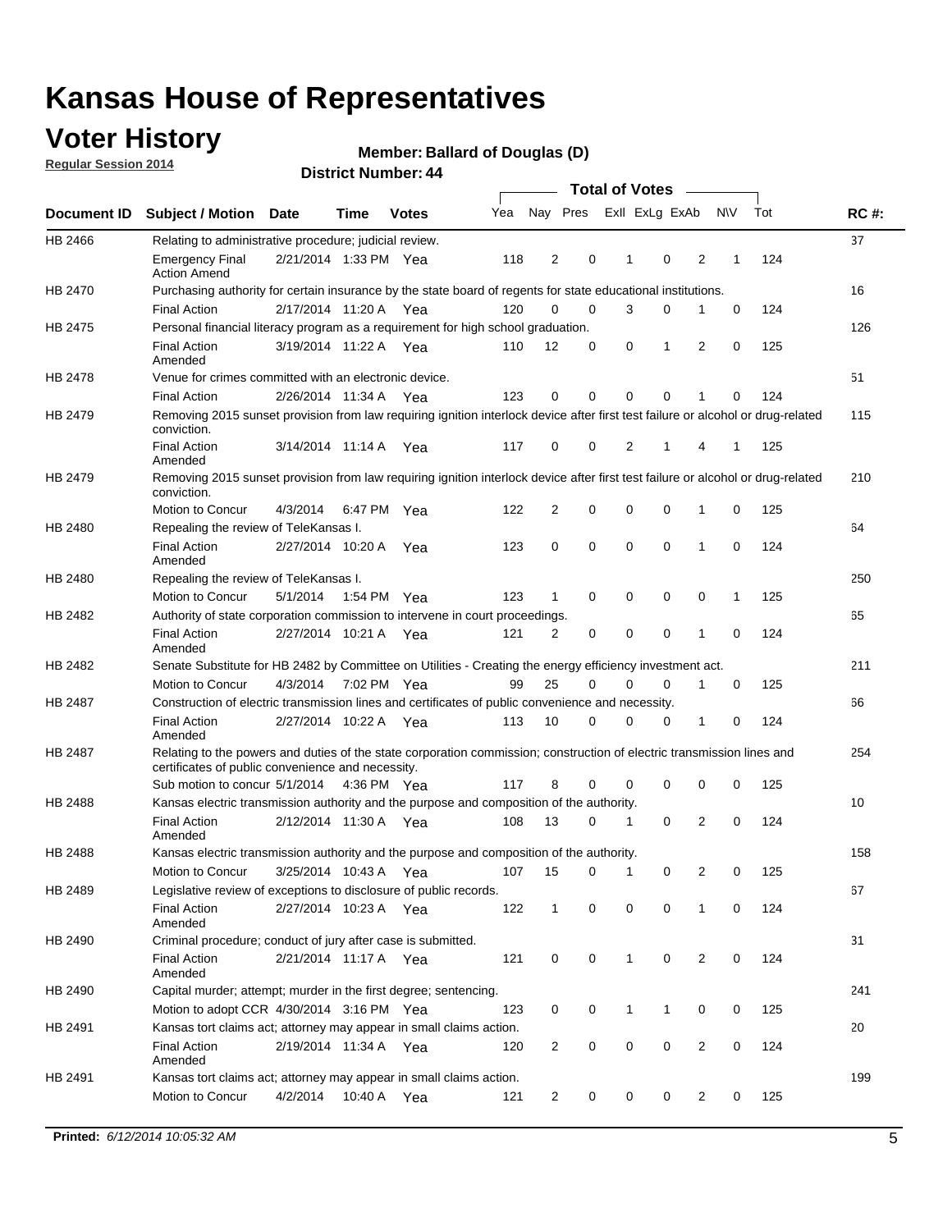### **Voter History**

**Regular Session 2014**

#### **Member: Ballard of Douglas (D)**

|                |                                                                                                                                                                             |                       |      |              |     |                |             | <b>Total of Votes</b> |             |                |             |     |             |
|----------------|-----------------------------------------------------------------------------------------------------------------------------------------------------------------------------|-----------------------|------|--------------|-----|----------------|-------------|-----------------------|-------------|----------------|-------------|-----|-------------|
|                | Document ID Subject / Motion Date                                                                                                                                           |                       | Time | <b>Votes</b> | Yea |                | Nay Pres    | Exll ExLg ExAb        |             |                | N\V         | Tot | <b>RC#:</b> |
| HB 2466        | Relating to administrative procedure; judicial review.                                                                                                                      |                       |      |              |     |                |             |                       |             |                |             |     | 37          |
|                | <b>Emergency Final</b><br><b>Action Amend</b>                                                                                                                               | 2/21/2014 1:33 PM Yea |      |              | 118 | 2              | 0           | 1                     | 0           | 2              | 1           | 124 |             |
| HB 2470        | Purchasing authority for certain insurance by the state board of regents for state educational institutions.                                                                |                       |      |              |     |                |             |                       |             |                |             |     | 16          |
|                | <b>Final Action</b>                                                                                                                                                         | 2/17/2014 11:20 A Yea |      |              | 120 | 0              | 0           | 3                     | $\mathbf 0$ | 1              | 0           | 124 |             |
| HB 2475        | Personal financial literacy program as a requirement for high school graduation.                                                                                            |                       |      |              |     |                |             |                       |             |                |             |     | 126         |
|                | <b>Final Action</b><br>Amended                                                                                                                                              | 3/19/2014 11:22 A Yea |      |              | 110 | 12             | 0           | 0                     | 1           | 2              | 0           | 125 |             |
| HB 2478        | Venue for crimes committed with an electronic device.                                                                                                                       |                       |      |              |     |                |             |                       |             |                |             |     | 51          |
|                | <b>Final Action</b>                                                                                                                                                         | 2/26/2014 11:34 A     |      | Yea          | 123 | 0              | 0           | $\Omega$              | $\mathbf 0$ | 1              | 0           | 124 |             |
| HB 2479        | Removing 2015 sunset provision from law requiring ignition interlock device after first test failure or alcohol or drug-related<br>conviction.                              |                       |      |              |     |                |             |                       |             |                |             |     | 115         |
|                | <b>Final Action</b><br>Amended                                                                                                                                              | 3/14/2014 11:14 A     |      | Yea          | 117 | 0              | 0           | 2                     | 1           | 4              | 1           | 125 |             |
| HB 2479        | Removing 2015 sunset provision from law requiring ignition interlock device after first test failure or alcohol or drug-related<br>conviction.                              |                       |      |              |     |                |             |                       |             |                |             |     | 210         |
|                | Motion to Concur                                                                                                                                                            | 4/3/2014              |      | 6:47 PM Yea  | 122 | $\overline{2}$ | 0           | 0                     | $\mathbf 0$ | 1              | 0           | 125 |             |
| HB 2480        | Repealing the review of TeleKansas I.                                                                                                                                       |                       |      |              |     |                |             |                       |             |                |             |     | 64          |
|                | <b>Final Action</b><br>Amended                                                                                                                                              | 2/27/2014 10:20 A     |      | Yea          | 123 | 0              | 0           | $\mathbf 0$           | $\mathbf 0$ | 1              | 0           | 124 |             |
| HB 2480        | Repealing the review of TeleKansas I.                                                                                                                                       |                       |      |              |     |                |             |                       |             |                |             |     | 250         |
|                | Motion to Concur                                                                                                                                                            | 5/1/2014              |      | 1:54 PM Yea  | 123 | 1              | 0           | 0                     | 0           | 0              | 1           | 125 |             |
| HB 2482        | Authority of state corporation commission to intervene in court proceedings.                                                                                                |                       |      |              |     |                |             |                       |             |                |             |     | 65          |
|                | <b>Final Action</b><br>Amended                                                                                                                                              | 2/27/2014 10:21 A     |      | Yea          | 121 | 2              | 0           | 0                     | 0           | 1              | 0           | 124 |             |
| HB 2482        | Senate Substitute for HB 2482 by Committee on Utilities - Creating the energy efficiency investment act.                                                                    |                       |      |              |     |                |             |                       |             |                |             |     | 211         |
|                | Motion to Concur                                                                                                                                                            | 4/3/2014 7:02 PM Yea  |      |              | 99  | 25             | 0           | 0                     | $\mathbf 0$ | 1              | 0           | 125 |             |
| HB 2487        | Construction of electric transmission lines and certificates of public convenience and necessity.                                                                           |                       |      |              |     |                |             |                       |             |                |             |     | 66          |
|                | <b>Final Action</b><br>Amended                                                                                                                                              | 2/27/2014 10:22 A Yea |      |              | 113 | 10             | 0           | 0                     | 0           | 1              | 0           | 124 |             |
| HB 2487        | Relating to the powers and duties of the state corporation commission; construction of electric transmission lines and<br>certificates of public convenience and necessity. |                       |      |              |     |                |             |                       |             |                |             |     | 254         |
|                | Sub motion to concur 5/1/2014                                                                                                                                               |                       |      | 4:36 PM Yea  | 117 | 8              | 0           | 0                     | 0           | 0              | 0           | 125 |             |
| <b>HB 2488</b> | Kansas electric transmission authority and the purpose and composition of the authority.                                                                                    |                       |      |              |     |                |             |                       |             |                |             |     | 10          |
|                | <b>Final Action</b><br>Amended                                                                                                                                              | 2/12/2014 11:30 A     |      | Yea          | 108 | 13             | 0           | 1                     | 0           | 2              | 0           | 124 |             |
| HB 2488        | Kansas electric transmission authority and the purpose and composition of the authority.                                                                                    |                       |      |              |     |                |             |                       |             |                |             |     | 158         |
|                | Motion to Concur                                                                                                                                                            | 3/25/2014 10:43 A     |      | Yea          | 107 | 15             | 0           | 1                     | 0           | 2              | 0           | 125 |             |
| HB 2489        | Legislative review of exceptions to disclosure of public records.                                                                                                           |                       |      |              |     |                |             |                       |             |                |             |     | 67          |
|                | <b>Final Action</b><br>Amended                                                                                                                                              | 2/27/2014 10:23 A Yea |      |              | 122 | $\mathbf 1$    | 0           | 0                     | 0           | 1              | 0           | 124 |             |
| HB 2490        | Criminal procedure; conduct of jury after case is submitted.                                                                                                                |                       |      |              |     |                |             |                       |             |                |             |     | 31          |
|                | <b>Final Action</b><br>Amended                                                                                                                                              | 2/21/2014 11:17 A Yea |      |              | 121 | 0              | 0           | $\mathbf{1}$          | 0           | 2              | $\mathbf 0$ | 124 |             |
| HB 2490        | Capital murder; attempt; murder in the first degree; sentencing.                                                                                                            |                       |      |              |     |                |             |                       |             |                |             |     | 241         |
|                | Motion to adopt CCR 4/30/2014 3:16 PM Yea                                                                                                                                   |                       |      |              | 123 | 0              | 0           | $\mathbf{1}$          | 1           | 0              | 0           | 125 |             |
| HB 2491        | Kansas tort claims act; attorney may appear in small claims action.                                                                                                         |                       |      |              |     |                |             |                       |             |                |             |     | 20          |
|                | <b>Final Action</b><br>Amended                                                                                                                                              | 2/19/2014 11:34 A Yea |      |              | 120 | $\overline{2}$ | 0           | 0                     | 0           | $\overline{2}$ | 0           | 124 |             |
| HB 2491        | Kansas tort claims act; attorney may appear in small claims action.                                                                                                         |                       |      |              |     |                |             |                       |             |                |             |     | 199         |
|                | Motion to Concur                                                                                                                                                            | 4/2/2014              |      | 10:40 A Yea  | 121 | 2              | $\mathbf 0$ | 0                     | 0           | 2              | 0           | 125 |             |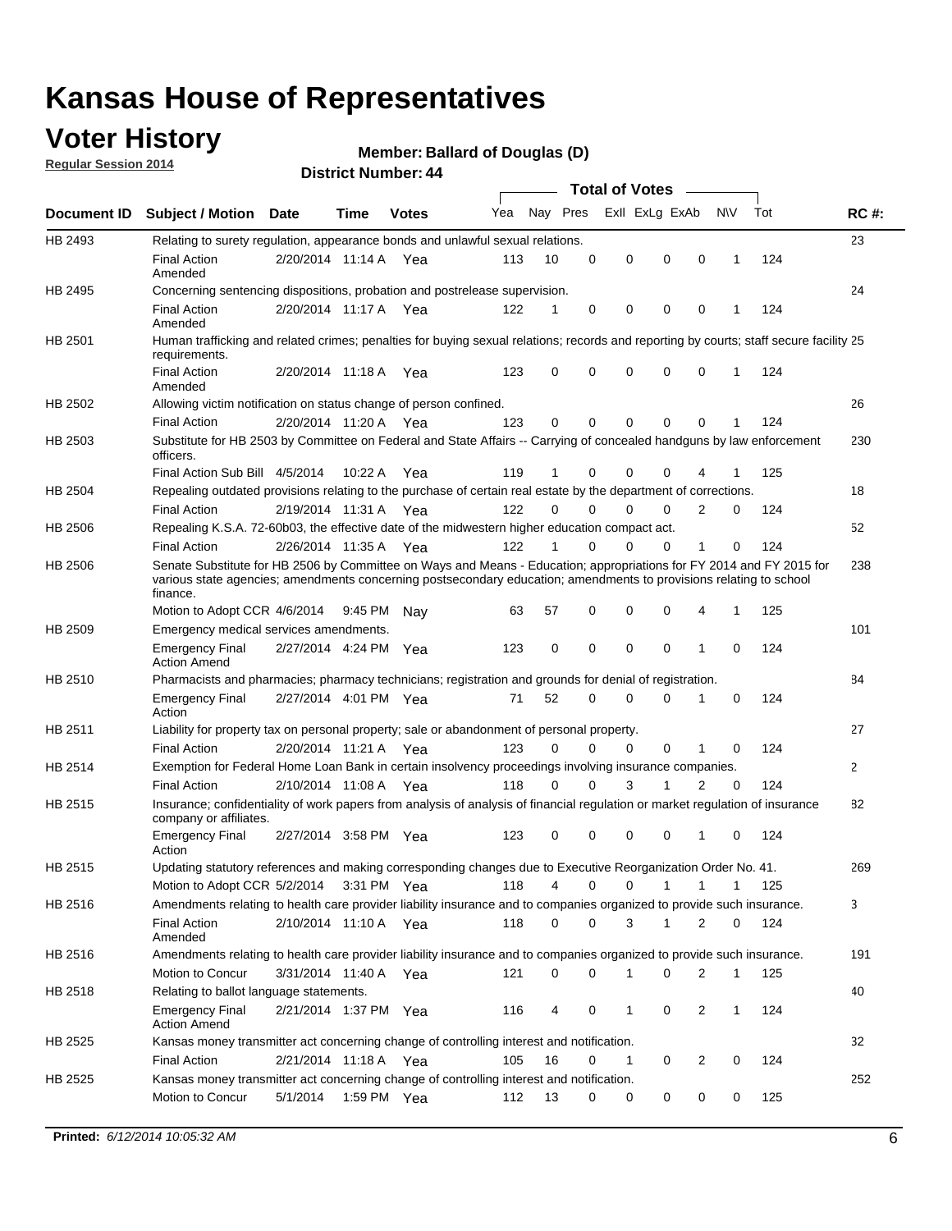### **Voter History**

**Regular Session 2014**

#### **Member: Ballard of Douglas (D)**

|                |                                                                                                                                                                                                                                                        |                       |             | DISTICT MAILDEL, 44 |     |          |             | Total of Votes –           |             |              |     |              |
|----------------|--------------------------------------------------------------------------------------------------------------------------------------------------------------------------------------------------------------------------------------------------------|-----------------------|-------------|---------------------|-----|----------|-------------|----------------------------|-------------|--------------|-----|--------------|
|                | Document ID Subject / Motion Date                                                                                                                                                                                                                      |                       | Time        | <b>Votes</b>        | Yea |          | Nay Pres    | Exll ExLg ExAb             |             | <b>NV</b>    | Tot | <b>RC#:</b>  |
| HB 2493        | Relating to surety regulation, appearance bonds and unlawful sexual relations.                                                                                                                                                                         |                       |             |                     |     |          |             |                            |             |              |     | 23           |
|                | <b>Final Action</b><br>Amended                                                                                                                                                                                                                         | 2/20/2014 11:14 A Yea |             |                     | 113 | 10       | $\mathbf 0$ | $\mathbf 0$<br>$\mathbf 0$ | $\mathbf 0$ | $\mathbf 1$  | 124 |              |
| HB 2495        | Concerning sentencing dispositions, probation and postrelease supervision.                                                                                                                                                                             |                       |             |                     |     |          |             |                            |             |              |     | 24           |
|                | <b>Final Action</b><br>Amended                                                                                                                                                                                                                         | 2/20/2014 11:17 A     |             | Yea                 | 122 | 1        | 0           | 0<br>0                     | 0           | -1           | 124 |              |
| HB 2501        | Human trafficking and related crimes; penalties for buying sexual relations; records and reporting by courts; staff secure facility 25<br>requirements.                                                                                                |                       |             |                     |     |          |             |                            |             |              |     |              |
|                | <b>Final Action</b><br>Amended                                                                                                                                                                                                                         | 2/20/2014 11:18 A Yea |             |                     | 123 | 0        | 0           | $\Omega$<br>$\Omega$       | 0           | $\mathbf 1$  | 124 |              |
| HB 2502        | Allowing victim notification on status change of person confined.                                                                                                                                                                                      |                       |             |                     |     |          |             |                            |             |              |     | 26           |
|                | <b>Final Action</b>                                                                                                                                                                                                                                    | 2/20/2014 11:20 A Yea |             |                     | 123 | 0        | 0           | $\mathbf 0$<br>0           | 0           | 1            | 124 |              |
| HB 2503        | Substitute for HB 2503 by Committee on Federal and State Affairs -- Carrying of concealed handguns by law enforcement<br>officers.                                                                                                                     |                       |             |                     |     |          |             |                            |             |              |     | 230          |
|                | Final Action Sub Bill 4/5/2014                                                                                                                                                                                                                         |                       | 10:22 A     | Yea                 | 119 | 1        | 0           | $\Omega$<br>0              |             |              | 125 |              |
| HB 2504        | Repealing outdated provisions relating to the purchase of certain real estate by the department of corrections.                                                                                                                                        |                       |             |                     |     |          |             |                            |             |              |     | 18           |
|                | <b>Final Action</b>                                                                                                                                                                                                                                    | 2/19/2014 11:31 A Yea |             |                     | 122 | $\Omega$ | 0           | $\Omega$<br>0              | 2           | 0            | 124 |              |
| <b>HB 2506</b> | Repealing K.S.A. 72-60b03, the effective date of the midwestern higher education compact act.                                                                                                                                                          |                       |             |                     |     |          |             |                            |             |              |     | 52           |
|                | <b>Final Action</b>                                                                                                                                                                                                                                    | 2/26/2014 11:35 A Yea |             |                     | 122 | 1        | $\mathbf 0$ | 0<br>0                     | 1           | 0            | 124 |              |
| <b>HB 2506</b> | Senate Substitute for HB 2506 by Committee on Ways and Means - Education; appropriations for FY 2014 and FY 2015 for<br>various state agencies; amendments concerning postsecondary education; amendments to provisions relating to school<br>finance. |                       |             |                     |     |          |             |                            |             |              |     | 238          |
|                | Motion to Adopt CCR 4/6/2014                                                                                                                                                                                                                           |                       | 9:45 PM     | Nav                 | 63  | 57       | $\mathbf 0$ | $\mathbf 0$<br>$\Omega$    | 4           | $\mathbf{1}$ | 125 |              |
| HB 2509        | Emergency medical services amendments.                                                                                                                                                                                                                 |                       |             |                     |     |          |             |                            |             |              |     | 101          |
|                | <b>Emergency Final</b><br><b>Action Amend</b>                                                                                                                                                                                                          | 2/27/2014 4:24 PM Yea |             |                     | 123 | 0        | $\Omega$    | $\Omega$<br>$\Omega$       | 1           | $\Omega$     | 124 |              |
| HB 2510        | Pharmacists and pharmacies; pharmacy technicians; registration and grounds for denial of registration.                                                                                                                                                 |                       |             |                     |     |          |             |                            |             |              |     | 84           |
|                | <b>Emergency Final</b><br>Action                                                                                                                                                                                                                       | 2/27/2014 4:01 PM Yea |             |                     | 71  | 52       | 0           | $\Omega$<br>0              | 1           | 0            | 124 |              |
| HB 2511        | Liability for property tax on personal property; sale or abandonment of personal property.                                                                                                                                                             |                       |             |                     |     |          |             |                            |             |              |     | 27           |
|                | <b>Final Action</b>                                                                                                                                                                                                                                    | 2/20/2014 11:21 A Yea |             |                     | 123 | 0        | 0           | 0<br>0                     | 1           | 0            | 124 |              |
| HB 2514        | Exemption for Federal Home Loan Bank in certain insolvency proceedings involving insurance companies.                                                                                                                                                  |                       |             |                     |     |          |             |                            |             |              |     | $\mathbf{2}$ |
|                | <b>Final Action</b>                                                                                                                                                                                                                                    | 2/10/2014 11:08 A Yea |             |                     | 118 | $\Omega$ | 0           | 3<br>1                     | 2           | 0            | 124 |              |
| HB 2515        | Insurance; confidentiality of work papers from analysis of analysis of financial regulation or market regulation of insurance<br>company or affiliates.                                                                                                |                       |             |                     |     |          |             |                            |             |              |     | 82           |
|                | <b>Emergency Final</b><br>Action                                                                                                                                                                                                                       | 2/27/2014 3:58 PM Yea |             |                     | 123 | 0        | $\Omega$    | $\Omega$<br>0              | -1          | $\Omega$     | 124 |              |
| HB 2515        | Updating statutory references and making corresponding changes due to Executive Reorganization Order No. 41.                                                                                                                                           |                       |             |                     |     |          |             |                            |             |              |     | 269          |
|                | Motion to Adopt CCR 5/2/2014 3:31 PM Yea                                                                                                                                                                                                               |                       |             |                     | 118 | 4        | 0           | 0<br>1                     | 1           | 1            | 125 |              |
| HB 2516        | Amendments relating to health care provider liability insurance and to companies organized to provide such insurance.                                                                                                                                  |                       |             |                     |     |          |             |                            |             |              |     | 3            |
|                | <b>Final Action</b><br>Amended                                                                                                                                                                                                                         | 2/10/2014 11:10 A Yea |             |                     | 118 | 0        | 0           | 3<br>1                     | 2           | 0            | 124 |              |
| HB 2516        | Amendments relating to health care provider liability insurance and to companies organized to provide such insurance.                                                                                                                                  |                       |             |                     |     |          |             |                            |             |              |     | 191          |
|                | Motion to Concur                                                                                                                                                                                                                                       | 3/31/2014 11:40 A Yea |             |                     | 121 | 0        | 0           | 0<br>1                     | 2           | $\mathbf{1}$ | 125 |              |
| HB 2518        | Relating to ballot language statements.                                                                                                                                                                                                                |                       |             |                     |     |          |             |                            |             |              |     | 40           |
|                | <b>Emergency Final</b><br><b>Action Amend</b>                                                                                                                                                                                                          | 2/21/2014 1:37 PM Yea |             |                     | 116 | 4        | 0           | 0<br>1                     | 2           | 1            | 124 |              |
| <b>HB 2525</b> | Kansas money transmitter act concerning change of controlling interest and notification.                                                                                                                                                               |                       |             |                     |     |          |             |                            |             |              |     | 32           |
|                | <b>Final Action</b>                                                                                                                                                                                                                                    | 2/21/2014 11:18 A     |             | Yea                 | 105 | 16       | 0           | 1<br>0                     | 2           | 0            | 124 |              |
| HB 2525        | Kansas money transmitter act concerning change of controlling interest and notification.                                                                                                                                                               |                       |             |                     |     |          |             |                            |             |              |     | 252          |
|                | Motion to Concur                                                                                                                                                                                                                                       | 5/1/2014              | 1:59 PM Yea |                     | 112 | 13       | 0           | 0<br>0                     | 0           | 0            | 125 |              |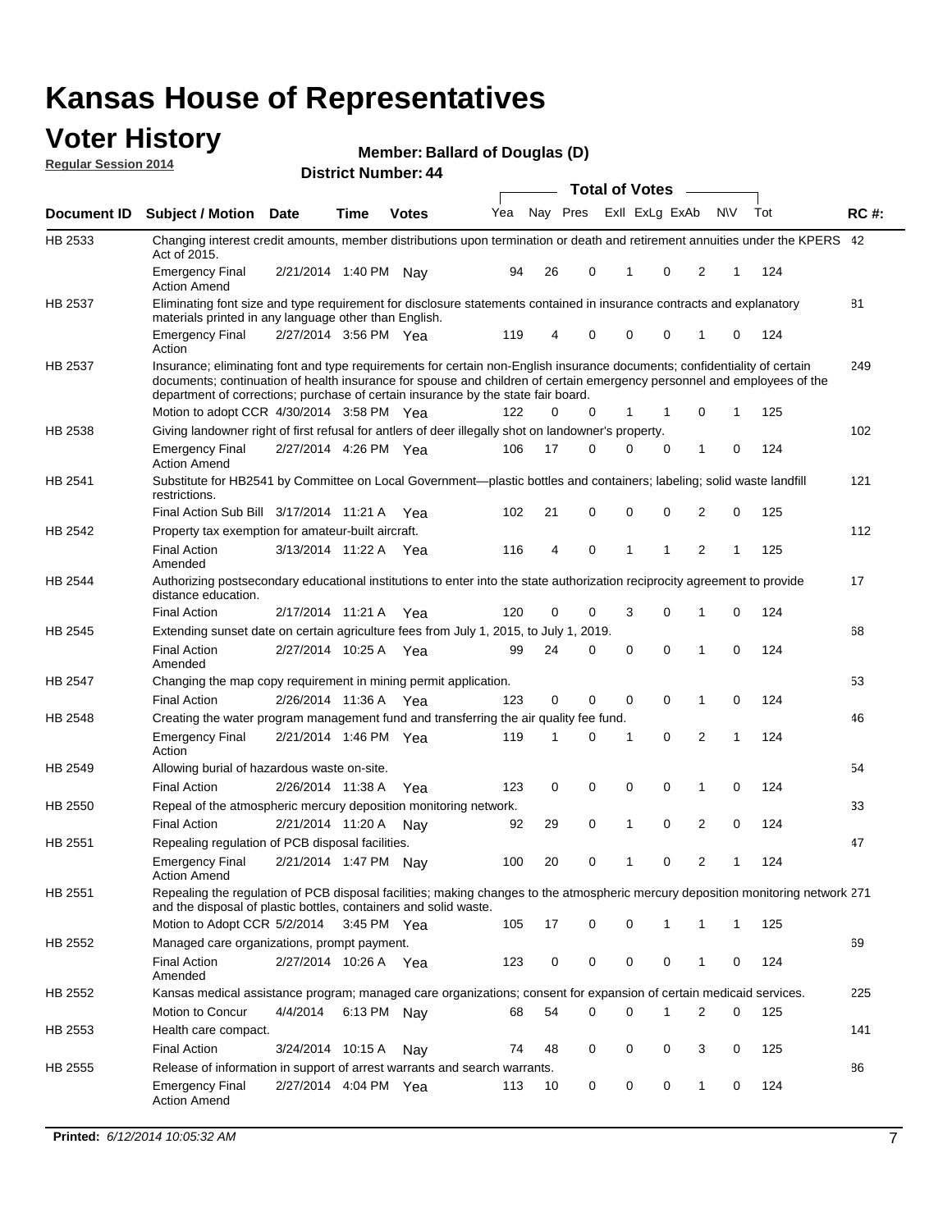#### **Voter History Regular Session 2014**

|                |                                                                                                                                                                                                                                                                                                                                           |                       |             | די וסטוווטג ושטוווט <del>כ</del> ו |     |    |             | <b>Total of Votes</b> |                |                |              |     |             |
|----------------|-------------------------------------------------------------------------------------------------------------------------------------------------------------------------------------------------------------------------------------------------------------------------------------------------------------------------------------------|-----------------------|-------------|------------------------------------|-----|----|-------------|-----------------------|----------------|----------------|--------------|-----|-------------|
| Document ID    | <b>Subject / Motion Date</b>                                                                                                                                                                                                                                                                                                              |                       | Time        | <b>Votes</b>                       | Yea |    | Nay Pres    |                       | Exll ExLg ExAb | N\V            |              | Tot | <b>RC#:</b> |
| HB 2533        | Changing interest credit amounts, member distributions upon termination or death and retirement annuities under the KPERS 42<br>Act of 2015.                                                                                                                                                                                              |                       |             |                                    |     |    |             |                       |                |                |              |     |             |
|                | <b>Emergency Final</b><br><b>Action Amend</b>                                                                                                                                                                                                                                                                                             | 2/21/2014 1:40 PM Nav |             |                                    | 94  | 26 | 0           | $\mathbf{1}$          | 0              | 2              | 1            | 124 |             |
| HB 2537        | Eliminating font size and type requirement for disclosure statements contained in insurance contracts and explanatory<br>materials printed in any language other than English.                                                                                                                                                            |                       |             |                                    |     |    |             |                       |                |                |              |     | 81          |
|                | <b>Emergency Final</b><br>Action                                                                                                                                                                                                                                                                                                          | 2/27/2014 3:56 PM Yea |             |                                    | 119 | 4  | 0           | 0                     | 0              | 1              | 0            | 124 |             |
| HB 2537        | Insurance; eliminating font and type requirements for certain non-English insurance documents; confidentiality of certain<br>documents; continuation of health insurance for spouse and children of certain emergency personnel and employees of the<br>department of corrections; purchase of certain insurance by the state fair board. |                       |             |                                    |     |    |             |                       |                |                |              |     | 249         |
|                | Motion to adopt CCR 4/30/2014 3:58 PM Yea                                                                                                                                                                                                                                                                                                 |                       |             |                                    | 122 | 0  | 0           | 1                     | -1             | 0              | 1            | 125 |             |
| HB 2538        | Giving landowner right of first refusal for antlers of deer illegally shot on landowner's property.                                                                                                                                                                                                                                       |                       |             |                                    |     |    |             |                       |                |                |              |     | 102         |
|                | <b>Emergency Final</b><br><b>Action Amend</b>                                                                                                                                                                                                                                                                                             | 2/27/2014 4:26 PM Yea |             |                                    | 106 | 17 | 0           | 0                     | 0              | 1              | 0            | 124 |             |
| HB 2541        | Substitute for HB2541 by Committee on Local Government—plastic bottles and containers; labeling; solid waste landfill<br>restrictions.                                                                                                                                                                                                    |                       |             |                                    |     |    |             |                       |                |                |              |     | 121         |
|                | Final Action Sub Bill 3/17/2014 11:21 A Yea                                                                                                                                                                                                                                                                                               |                       |             |                                    | 102 | 21 | 0           | $\mathbf 0$           | 0              | 2              | 0            | 125 |             |
| HB 2542        | Property tax exemption for amateur-built aircraft.<br><b>Final Action</b>                                                                                                                                                                                                                                                                 | 3/13/2014 11:22 A Yea |             |                                    | 116 | 4  | 0           | $\mathbf{1}$          | 1              | 2              | 1            | 125 | 112         |
| HB 2544        | Amended<br>Authorizing postsecondary educational institutions to enter into the state authorization reciprocity agreement to provide<br>distance education.                                                                                                                                                                               |                       |             |                                    |     |    |             |                       |                |                |              |     | 17          |
|                | <b>Final Action</b>                                                                                                                                                                                                                                                                                                                       | 2/17/2014 11:21 A Yea |             |                                    | 120 | 0  | 0           | 3                     | 0              | 1              | 0            | 124 |             |
| HB 2545        | Extending sunset date on certain agriculture fees from July 1, 2015, to July 1, 2019.                                                                                                                                                                                                                                                     |                       |             |                                    |     |    |             |                       |                |                |              |     | 68          |
|                | <b>Final Action</b><br>Amended                                                                                                                                                                                                                                                                                                            | 2/27/2014 10:25 A Yea |             |                                    | 99  | 24 | 0           | $\mathbf 0$           | $\Omega$       | 1              | 0            | 124 |             |
| <b>HB 2547</b> | Changing the map copy requirement in mining permit application.                                                                                                                                                                                                                                                                           |                       |             |                                    |     |    |             |                       |                |                |              |     | 53          |
|                | <b>Final Action</b>                                                                                                                                                                                                                                                                                                                       | 2/26/2014 11:36 A     |             | Yea                                | 123 | 0  | 0           | 0                     | 0              | 1              | 0            | 124 |             |
| HB 2548        | Creating the water program management fund and transferring the air quality fee fund.                                                                                                                                                                                                                                                     |                       |             |                                    |     |    |             |                       |                |                |              |     | 46          |
|                | <b>Emergency Final</b><br>Action                                                                                                                                                                                                                                                                                                          | 2/21/2014 1:46 PM Yea |             |                                    | 119 | 1  | 0           | 1                     | 0              | 2              | $\mathbf{1}$ | 124 |             |
| HB 2549        | Allowing burial of hazardous waste on-site.                                                                                                                                                                                                                                                                                               |                       |             |                                    |     |    |             |                       |                |                |              |     | 54          |
|                | <b>Final Action</b>                                                                                                                                                                                                                                                                                                                       | 2/26/2014 11:38 A     |             | Yea                                | 123 | 0  | $\mathbf 0$ | 0                     | 0              | 1              | 0            | 124 |             |
| HB 2550        | Repeal of the atmospheric mercury deposition monitoring network.                                                                                                                                                                                                                                                                          |                       |             |                                    |     |    |             |                       |                |                |              |     | 33          |
|                | <b>Final Action</b>                                                                                                                                                                                                                                                                                                                       | 2/21/2014 11:20 A     |             | Nay                                | 92  | 29 | 0           | 1                     | 0              | 2              | 0            | 124 |             |
| HB 2551        | Repealing regulation of PCB disposal facilities.                                                                                                                                                                                                                                                                                          |                       |             |                                    |     |    |             |                       |                |                |              |     | 47          |
|                | <b>Emergency Final</b><br>Action Amend                                                                                                                                                                                                                                                                                                    | 2/21/2014 1:47 PM Nay |             |                                    | 100 | 20 | 0           | 1                     | 0              | $\overline{2}$ | 1            | 124 |             |
| HB 2551        | Repealing the regulation of PCB disposal facilities; making changes to the atmospheric mercury deposition monitoring network 271<br>and the disposal of plastic bottles, containers and solid waste.                                                                                                                                      |                       |             |                                    |     |    |             |                       |                |                |              |     |             |
|                | Motion to Adopt CCR 5/2/2014 3:45 PM Yea                                                                                                                                                                                                                                                                                                  |                       |             |                                    | 105 | 17 | 0           | 0                     | 1              | 1              | 1            | 125 |             |
| HB 2552        | Managed care organizations, prompt payment.                                                                                                                                                                                                                                                                                               |                       |             |                                    |     |    |             |                       |                |                |              |     | 69          |
|                | <b>Final Action</b><br>Amended                                                                                                                                                                                                                                                                                                            | 2/27/2014 10:26 A Yea |             |                                    | 123 | 0  | 0           | 0                     | 0              | 1              | 0            | 124 |             |
| HB 2552        | Kansas medical assistance program; managed care organizations; consent for expansion of certain medicaid services.                                                                                                                                                                                                                        |                       |             |                                    |     |    |             |                       |                |                |              |     | 225         |
|                | Motion to Concur                                                                                                                                                                                                                                                                                                                          | 4/4/2014              | 6:13 PM Nay |                                    | 68  | 54 | 0           | 0                     | 1              | 2              | 0            | 125 |             |
| HB 2553        | Health care compact.                                                                                                                                                                                                                                                                                                                      |                       |             |                                    |     |    |             |                       |                |                |              |     | 141         |
|                | <b>Final Action</b>                                                                                                                                                                                                                                                                                                                       | 3/24/2014 10:15 A     |             | Nay                                | 74  | 48 | 0           | 0                     | 0              | 3              | 0            | 125 |             |
| HB 2555        | Release of information in support of arrest warrants and search warrants.                                                                                                                                                                                                                                                                 |                       |             |                                    |     |    |             |                       |                |                |              |     | 86          |
|                | <b>Emergency Final</b><br><b>Action Amend</b>                                                                                                                                                                                                                                                                                             | 2/27/2014 4:04 PM Yea |             |                                    | 113 | 10 | 0           | 0                     | 0              | 1              | 0            | 124 |             |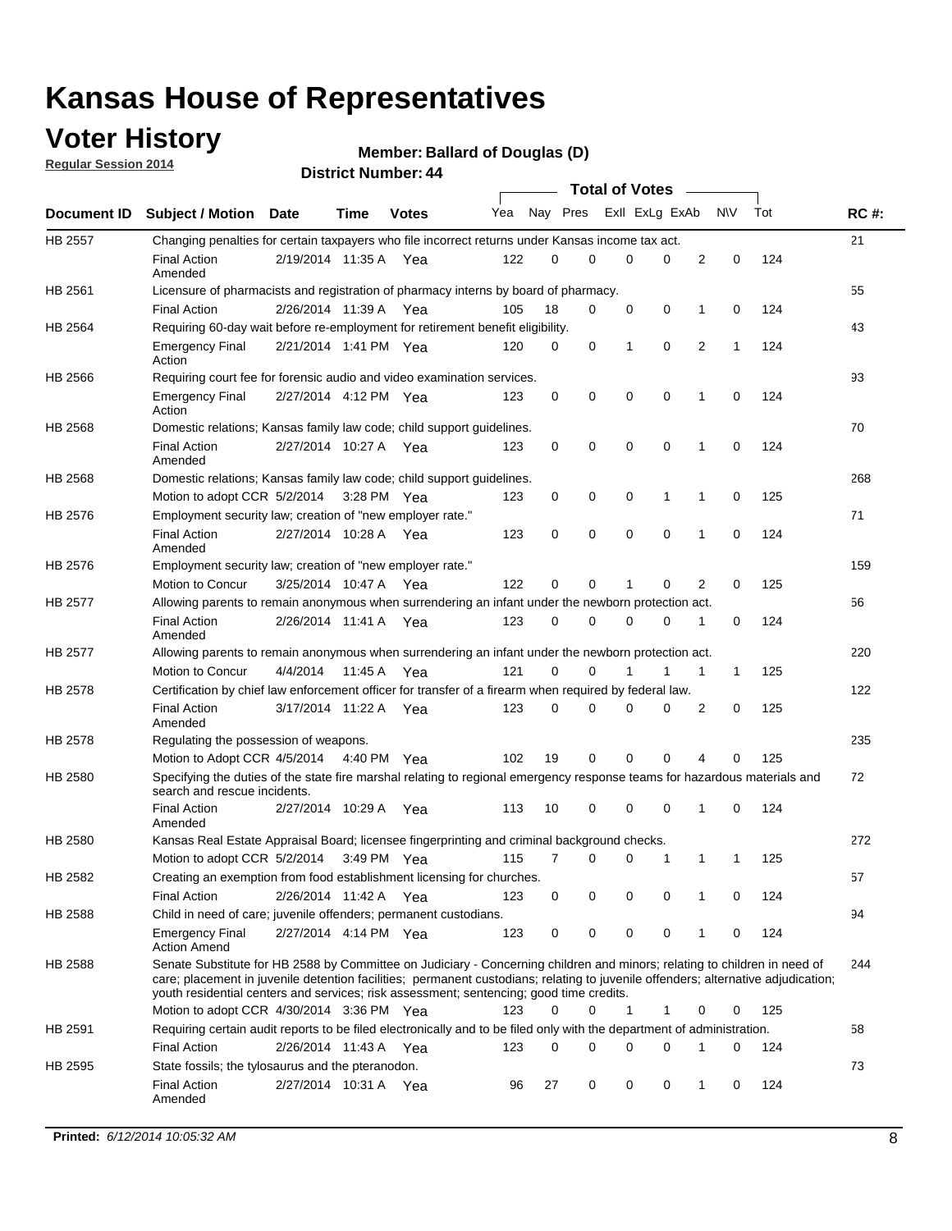### **Voter History**

**Regular Session 2014**

#### **Member: Ballard of Douglas (D)**

|                |                                                                                                                                                                                                                                                                                                                                                           |                       |             |              |     |          |   | <b>Total of Votes</b> |             |              |              |     |             |
|----------------|-----------------------------------------------------------------------------------------------------------------------------------------------------------------------------------------------------------------------------------------------------------------------------------------------------------------------------------------------------------|-----------------------|-------------|--------------|-----|----------|---|-----------------------|-------------|--------------|--------------|-----|-------------|
|                | Document ID Subject / Motion Date                                                                                                                                                                                                                                                                                                                         |                       | Time        | <b>Votes</b> | Yea | Nay Pres |   | Exll ExLg ExAb        |             |              | <b>NV</b>    | Tot | <b>RC#:</b> |
| <b>HB 2557</b> | Changing penalties for certain taxpayers who file incorrect returns under Kansas income tax act.                                                                                                                                                                                                                                                          |                       |             |              |     |          |   |                       |             |              |              |     | 21          |
|                | <b>Final Action</b><br>Amended                                                                                                                                                                                                                                                                                                                            | 2/19/2014 11:35 A     |             | Yea          | 122 | 0        | 0 | 0                     | 0           | 2            | 0            | 124 |             |
| HB 2561        | Licensure of pharmacists and registration of pharmacy interns by board of pharmacy.                                                                                                                                                                                                                                                                       |                       |             |              |     |          |   |                       |             |              |              |     | 55          |
|                | <b>Final Action</b>                                                                                                                                                                                                                                                                                                                                       | 2/26/2014 11:39 A Yea |             |              | 105 | 18       | 0 | 0                     | 0           | 1            | 0            | 124 |             |
| HB 2564        | Requiring 60-day wait before re-employment for retirement benefit eligibility.                                                                                                                                                                                                                                                                            |                       |             |              |     |          |   |                       |             |              |              |     | 43          |
|                | <b>Emergency Final</b><br>Action                                                                                                                                                                                                                                                                                                                          | 2/21/2014 1:41 PM Yea |             |              | 120 | 0        | 0 | 1                     | 0           | 2            | 1            | 124 |             |
| HB 2566        | Requiring court fee for forensic audio and video examination services.                                                                                                                                                                                                                                                                                    |                       |             |              |     |          |   |                       |             |              |              |     | 93          |
|                | <b>Emergency Final</b><br>Action                                                                                                                                                                                                                                                                                                                          | 2/27/2014 4:12 PM Yea |             |              | 123 | 0        | 0 | 0                     | $\mathbf 0$ | 1            | $\mathbf 0$  | 124 |             |
| HB 2568        | Domestic relations; Kansas family law code; child support guidelines.                                                                                                                                                                                                                                                                                     |                       |             |              |     |          |   |                       |             |              |              |     | 70          |
|                | <b>Final Action</b><br>Amended                                                                                                                                                                                                                                                                                                                            | 2/27/2014 10:27 A     |             | Yea          | 123 | 0        | 0 | 0                     | 0           | 1            | 0            | 124 |             |
| HB 2568        | Domestic relations; Kansas family law code; child support guidelines.                                                                                                                                                                                                                                                                                     |                       |             |              |     |          |   |                       |             |              |              |     | 268         |
|                | Motion to adopt CCR 5/2/2014                                                                                                                                                                                                                                                                                                                              |                       | 3:28 PM Yea |              | 123 | 0        | 0 | 0                     | 1           | 1            | 0            | 125 |             |
| HB 2576        | Employment security law; creation of "new employer rate."                                                                                                                                                                                                                                                                                                 |                       |             |              |     |          |   |                       |             |              |              |     | 71          |
|                | <b>Final Action</b><br>Amended                                                                                                                                                                                                                                                                                                                            | 2/27/2014 10:28 A     |             | Yea          | 123 | 0        | 0 | 0                     | $\mathbf 0$ | 1            | 0            | 124 |             |
| HB 2576        | Employment security law; creation of "new employer rate."                                                                                                                                                                                                                                                                                                 |                       |             |              |     |          |   |                       |             |              |              |     | 159         |
|                | Motion to Concur                                                                                                                                                                                                                                                                                                                                          | 3/25/2014 10:47 A     |             | Yea          | 122 | 0        | 0 | 1                     | 0           | 2            | 0            | 125 |             |
| HB 2577        | Allowing parents to remain anonymous when surrendering an infant under the newborn protection act.                                                                                                                                                                                                                                                        |                       |             |              |     |          |   |                       |             |              |              |     | 56          |
|                | <b>Final Action</b><br>Amended                                                                                                                                                                                                                                                                                                                            | 2/26/2014 11:41 A Yea |             |              | 123 | 0        | 0 | 0                     | $\Omega$    | 1            | 0            | 124 |             |
| HB 2577        | Allowing parents to remain anonymous when surrendering an infant under the newborn protection act.                                                                                                                                                                                                                                                        |                       |             |              |     |          |   |                       |             |              |              |     | 220         |
|                | Motion to Concur                                                                                                                                                                                                                                                                                                                                          | 4/4/2014              | 11:45 A     | Yea          | 121 | $\Omega$ | 0 |                       | 1           | $\mathbf{1}$ | $\mathbf{1}$ | 125 |             |
| HB 2578        | Certification by chief law enforcement officer for transfer of a firearm when required by federal law.                                                                                                                                                                                                                                                    |                       |             |              |     |          |   |                       |             |              |              |     | 122         |
|                | <b>Final Action</b><br>Amended                                                                                                                                                                                                                                                                                                                            | 3/17/2014 11:22 A     |             | Yea          | 123 | $\Omega$ | 0 | 0                     | $\Omega$    | 2            | 0            | 125 |             |
| HB 2578        | Regulating the possession of weapons.                                                                                                                                                                                                                                                                                                                     |                       |             |              |     |          |   |                       |             |              |              |     | 235         |
|                | Motion to Adopt CCR 4/5/2014 4:40 PM Yea                                                                                                                                                                                                                                                                                                                  |                       |             |              | 102 | 19       | 0 | 0                     | 0           | 4            | $\Omega$     | 125 |             |
| HB 2580        | Specifying the duties of the state fire marshal relating to regional emergency response teams for hazardous materials and<br>search and rescue incidents.                                                                                                                                                                                                 |                       |             |              |     |          |   |                       |             |              |              |     | 72          |
|                | <b>Final Action</b><br>Amended                                                                                                                                                                                                                                                                                                                            | 2/27/2014 10:29 A     |             | Yea          | 113 | 10       | 0 | 0                     | 0           | 1            | 0            | 124 |             |
| HB 2580        | Kansas Real Estate Appraisal Board; licensee fingerprinting and criminal background checks.                                                                                                                                                                                                                                                               |                       |             |              |     |          |   |                       |             |              |              |     | 272         |
|                | Motion to adopt CCR 5/2/2014                                                                                                                                                                                                                                                                                                                              |                       |             | 3:49 PM Yea  | 115 | 7        | 0 | 0                     | 1           | 1            | -1           | 125 |             |
| HB 2582        | Creating an exemption from food establishment licensing for churches.                                                                                                                                                                                                                                                                                     |                       |             |              |     |          |   |                       |             |              |              |     | 57          |
|                | <b>Final Action</b>                                                                                                                                                                                                                                                                                                                                       | 2/26/2014 11:42 A Yea |             |              | 123 | 0        | 0 | 0                     | 0           | 1            | 0            | 124 |             |
| HB 2588        | Child in need of care; juvenile offenders; permanent custodians.                                                                                                                                                                                                                                                                                          |                       |             |              |     |          |   |                       |             |              |              |     | 94          |
|                | <b>Emergency Final</b><br><b>Action Amend</b>                                                                                                                                                                                                                                                                                                             | 2/27/2014 4:14 PM Yea |             |              | 123 | 0        | 0 | 0                     | 0           | 1            | 0            | 124 |             |
| HB 2588        | Senate Substitute for HB 2588 by Committee on Judiciary - Concerning children and minors; relating to children in need of<br>care; placement in juvenile detention facilities; permanent custodians; relating to juvenile offenders; alternative adjudication;<br>youth residential centers and services; risk assessment; sentencing; good time credits. |                       |             |              |     |          |   |                       |             |              |              |     | 244         |
|                | Motion to adopt CCR 4/30/2014 3:36 PM Yea                                                                                                                                                                                                                                                                                                                 |                       |             |              | 123 | 0        | 0 | 1                     | 1           | 0            | 0            | 125 |             |
| HB 2591        | Requiring certain audit reports to be filed electronically and to be filed only with the department of administration.                                                                                                                                                                                                                                    |                       |             |              |     |          |   |                       |             |              |              |     | 58          |
|                | <b>Final Action</b>                                                                                                                                                                                                                                                                                                                                       | 2/26/2014 11:43 A Yea |             |              | 123 | 0        | 0 | 0                     | 0           | 1            | 0            | 124 |             |
| HB 2595        | State fossils; the tylosaurus and the pteranodon.                                                                                                                                                                                                                                                                                                         |                       |             |              |     |          |   |                       |             |              |              |     | 73          |
|                | <b>Final Action</b><br>Amended                                                                                                                                                                                                                                                                                                                            | 2/27/2014 10:31 A Yea |             |              | 96  | 27       | 0 | 0                     | 0           | 1            | 0            | 124 |             |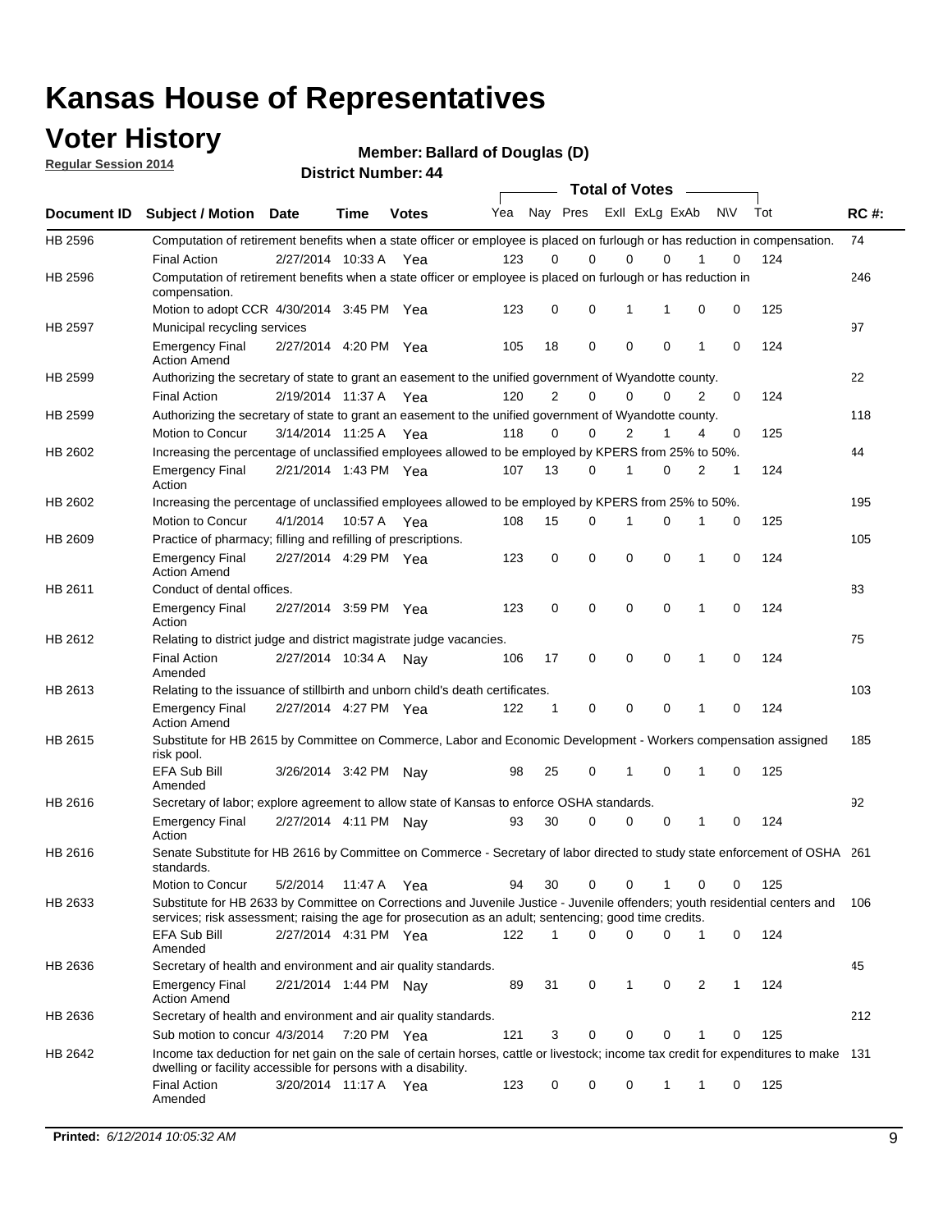### **Voter History**

**Regular Session 2014**

**Member: Ballard of Douglas (D)** 

|             |                                                                                                                                                                                                                                       |                       |             |              | <b>Total of Votes</b> |             |                         |             |             |              |           |     |             |
|-------------|---------------------------------------------------------------------------------------------------------------------------------------------------------------------------------------------------------------------------------------|-----------------------|-------------|--------------|-----------------------|-------------|-------------------------|-------------|-------------|--------------|-----------|-----|-------------|
| Document ID | <b>Subject / Motion Date</b>                                                                                                                                                                                                          |                       | <b>Time</b> | <b>Votes</b> | Yea                   |             | Nay Pres Exll ExLg ExAb |             |             |              | <b>NV</b> | Tot | <b>RC#:</b> |
| HB 2596     | Computation of retirement benefits when a state officer or employee is placed on furlough or has reduction in compensation.<br><b>Final Action</b>                                                                                    | 2/27/2014 10:33 A     |             |              | 123                   | 0           | 0                       | $\mathbf 0$ | $\Omega$    |              | 0         | 124 | 74          |
| HB 2596     | Computation of retirement benefits when a state officer or employee is placed on furlough or has reduction in<br>compensation.                                                                                                        |                       |             | Yea          |                       |             |                         |             |             |              |           |     | 246         |
|             | Motion to adopt CCR 4/30/2014 3:45 PM Yea                                                                                                                                                                                             |                       |             |              | 123                   | 0           | 0                       | 1           | 1           | 0            | 0         | 125 |             |
| HB 2597     | Municipal recycling services                                                                                                                                                                                                          |                       |             |              |                       |             |                         |             |             |              |           |     | 97          |
|             | <b>Emergency Final</b><br><b>Action Amend</b>                                                                                                                                                                                         | 2/27/2014 4:20 PM Yea |             |              | 105                   | 18          | 0                       | $\mathbf 0$ | 0           | $\mathbf{1}$ | 0         | 124 |             |
| HB 2599     | Authorizing the secretary of state to grant an easement to the unified government of Wyandotte county.                                                                                                                                |                       |             |              |                       |             |                         |             |             |              |           |     | 22          |
|             | <b>Final Action</b>                                                                                                                                                                                                                   | 2/19/2014 11:37 A     |             | Yea          | 120                   | 2           | 0                       | 0           | $\mathbf 0$ | 2            | 0         | 124 |             |
| HB 2599     | Authorizing the secretary of state to grant an easement to the unified government of Wyandotte county.                                                                                                                                |                       |             |              |                       |             |                         |             |             |              |           |     | 118         |
|             | Motion to Concur                                                                                                                                                                                                                      | 3/14/2014 11:25 A     |             | Yea          | 118                   | 0           | 0                       | 2           | 1           | 4            | 0         | 125 |             |
| HB 2602     | Increasing the percentage of unclassified employees allowed to be employed by KPERS from 25% to 50%.                                                                                                                                  |                       |             |              |                       |             |                         |             |             |              |           |     | 44          |
|             | <b>Emergency Final</b><br>Action                                                                                                                                                                                                      | 2/21/2014 1:43 PM Yea |             |              | 107                   | 13          | 0                       | 1           | 0           | 2            | 1         | 124 |             |
| HB 2602     | Increasing the percentage of unclassified employees allowed to be employed by KPERS from 25% to 50%.                                                                                                                                  |                       |             |              |                       |             |                         |             |             |              |           |     | 195         |
|             | Motion to Concur                                                                                                                                                                                                                      | 4/1/2014              | 10:57 A     | Yea          | 108                   | 15          | 0                       | 1           | $\mathbf 0$ | 1            | 0         | 125 |             |
| HB 2609     | Practice of pharmacy; filling and refilling of prescriptions.                                                                                                                                                                         |                       |             |              |                       |             |                         |             |             |              |           |     | 105         |
|             | <b>Emergency Final</b><br><b>Action Amend</b>                                                                                                                                                                                         | 2/27/2014 4:29 PM Yea |             |              | 123                   | $\mathbf 0$ | $\mathbf 0$             | $\mathbf 0$ | $\mathbf 0$ | 1            | $\Omega$  | 124 |             |
| HB 2611     | Conduct of dental offices.                                                                                                                                                                                                            |                       |             |              |                       |             |                         |             |             |              |           |     | 83          |
|             | <b>Emergency Final</b><br>Action                                                                                                                                                                                                      | 2/27/2014 3:59 PM Yea |             |              | 123                   | 0           | 0                       | $\mathbf 0$ | $\mathbf 0$ | 1            | 0         | 124 |             |
| HB 2612     | Relating to district judge and district magistrate judge vacancies.                                                                                                                                                                   |                       |             |              |                       |             |                         |             |             |              |           |     | 75          |
|             | <b>Final Action</b><br>Amended                                                                                                                                                                                                        | 2/27/2014 10:34 A     |             | Nav          | 106                   | 17          | 0                       | $\mathbf 0$ | $\mathbf 0$ | 1            | 0         | 124 |             |
| HB 2613     | Relating to the issuance of stillbirth and unborn child's death certificates.                                                                                                                                                         |                       |             |              |                       |             |                         |             |             |              |           |     | 103         |
|             | <b>Emergency Final</b><br><b>Action Amend</b>                                                                                                                                                                                         | 2/27/2014 4:27 PM Yea |             |              | 122                   | $\mathbf 1$ | $\mathbf 0$             | $\mathbf 0$ | 0           | 1            | 0         | 124 |             |
| HB 2615     | Substitute for HB 2615 by Committee on Commerce, Labor and Economic Development - Workers compensation assigned<br>risk pool.                                                                                                         |                       |             |              |                       |             |                         |             |             |              |           |     | 185         |
|             | EFA Sub Bill<br>Amended                                                                                                                                                                                                               | 3/26/2014 3:42 PM Nay |             |              | 98                    | 25          | 0                       | 1           | 0           | 1            | 0         | 125 |             |
| HB 2616     | Secretary of labor; explore agreement to allow state of Kansas to enforce OSHA standards.                                                                                                                                             |                       |             |              |                       |             |                         |             |             |              |           |     | 92          |
|             | <b>Emergency Final</b><br>Action                                                                                                                                                                                                      | 2/27/2014 4:11 PM Nay |             |              | 93                    | 30          | $\Omega$                | $\mathbf 0$ | 0           | 1            | 0         | 124 |             |
| HB 2616     | Senate Substitute for HB 2616 by Committee on Commerce - Secretary of labor directed to study state enforcement of OSHA 261<br>standards.                                                                                             |                       |             |              |                       |             |                         |             |             |              |           |     |             |
|             | Motion to Concur                                                                                                                                                                                                                      | 5/2/2014 11:47 A      |             | Yea          | 94                    | 30          | 0                       | $\mathbf 0$ | 1           | 0            | 0         | 125 |             |
| HB 2633     | Substitute for HB 2633 by Committee on Corrections and Juvenile Justice - Juvenile offenders; youth residential centers and<br>services; risk assessment; raising the age for prosecution as an adult; sentencing; good time credits. |                       |             |              |                       |             |                         |             |             |              |           |     | - 106       |
|             | EFA Sub Bill<br>Amended                                                                                                                                                                                                               | 2/27/2014 4:31 PM Yea |             |              | 122                   | 1           | 0                       | 0           | 0           | 1            | 0         | 124 |             |
| HB 2636     | Secretary of health and environment and air quality standards.                                                                                                                                                                        |                       |             |              |                       |             |                         |             |             |              |           |     | 45          |
|             | <b>Emergency Final</b><br><b>Action Amend</b>                                                                                                                                                                                         | 2/21/2014 1:44 PM Nay |             |              | 89                    | 31          | 0                       | 1           | 0           | 2            |           | 124 |             |
| HB 2636     | Secretary of health and environment and air quality standards.                                                                                                                                                                        |                       |             |              |                       |             |                         |             |             |              |           |     | 212         |
|             | Sub motion to concur 4/3/2014                                                                                                                                                                                                         |                       | 7:20 PM Yea |              | 121                   | 3           | 0                       | 0           | 0           | 1            | 0         | 125 |             |
| HB 2642     | Income tax deduction for net gain on the sale of certain horses, cattle or livestock; income tax credit for expenditures to make 131<br>dwelling or facility accessible for persons with a disability.                                |                       |             |              |                       |             |                         |             |             |              |           |     |             |
|             | <b>Final Action</b><br>Amended                                                                                                                                                                                                        | 3/20/2014 11:17 A Yea |             |              | 123                   | 0           | 0                       | 0           | 1           | 1            | 0         | 125 |             |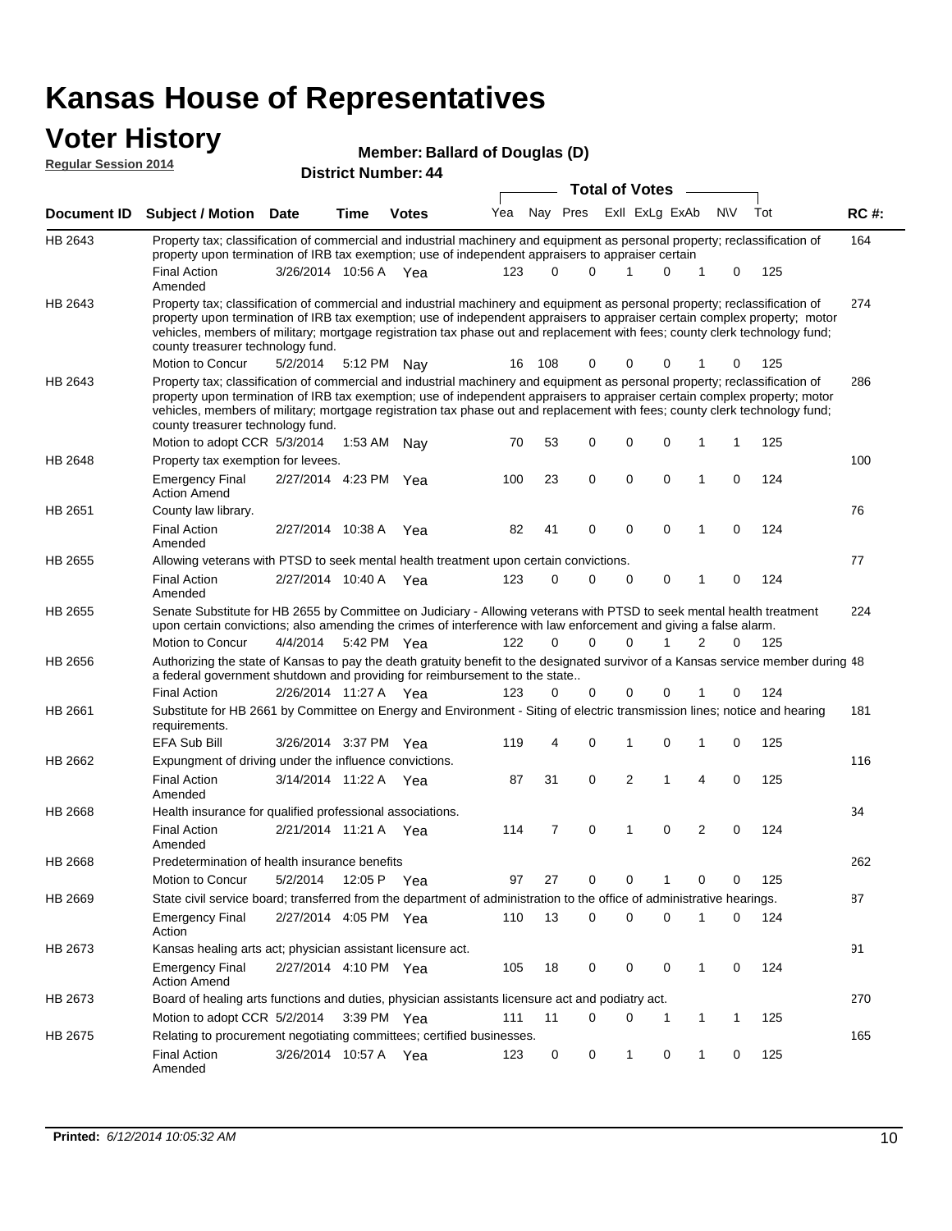### **Voter History**

| Member: Ballard of Douglas (D) |  |
|--------------------------------|--|
|--------------------------------|--|

| <b>Regular Session 2014</b> |                                                                                                                                                                                                                                                                                                                                                                                                                               |                       |         | <b>District Number: 44</b> |     |       |                      |                       |                     |            |   |     |             |
|-----------------------------|-------------------------------------------------------------------------------------------------------------------------------------------------------------------------------------------------------------------------------------------------------------------------------------------------------------------------------------------------------------------------------------------------------------------------------|-----------------------|---------|----------------------------|-----|-------|----------------------|-----------------------|---------------------|------------|---|-----|-------------|
|                             |                                                                                                                                                                                                                                                                                                                                                                                                                               |                       |         |                            |     |       |                      | <b>Total of Votes</b> |                     |            |   |     |             |
| <b>Document ID</b>          | <b>Subject / Motion Date</b>                                                                                                                                                                                                                                                                                                                                                                                                  |                       | Time    | <b>Votes</b>               | Yea |       | Nay Pres             |                       | Exll ExLg ExAb      | <b>N\V</b> |   | Tot | <b>RC#:</b> |
| HB 2643                     | Property tax; classification of commercial and industrial machinery and equipment as personal property; reclassification of<br>property upon termination of IRB tax exemption; use of independent appraisers to appraiser certain                                                                                                                                                                                             |                       |         |                            |     |       |                      |                       |                     |            |   |     | 164         |
|                             | <b>Final Action</b><br>Amended                                                                                                                                                                                                                                                                                                                                                                                                | 3/26/2014 10:56 A Yea |         |                            | 123 |       | $\Omega$<br>$\Omega$ | 1                     | 0<br>1              |            | 0 | 125 |             |
| HB 2643                     | Property tax; classification of commercial and industrial machinery and equipment as personal property; reclassification of<br>property upon termination of IRB tax exemption; use of independent appraisers to appraiser certain complex property; motor<br>vehicles, members of military; mortgage registration tax phase out and replacement with fees; county clerk technology fund;<br>county treasurer technology fund. |                       |         |                            |     |       |                      |                       | 0                   |            |   |     | 274         |
|                             | Motion to Concur<br>Property tax; classification of commercial and industrial machinery and equipment as personal property; reclassification of                                                                                                                                                                                                                                                                               | 5/2/2014              |         | 5:12 PM Nav                | 16  | - 108 | 0                    | 0                     |                     |            | 0 | 125 |             |
| HB 2643                     | property upon termination of IRB tax exemption; use of independent appraisers to appraiser certain complex property; motor<br>vehicles, members of military; mortgage registration tax phase out and replacement with fees; county clerk technology fund;<br>county treasurer technology fund.                                                                                                                                |                       |         |                            |     |       |                      |                       |                     |            |   |     | 286         |
|                             | Motion to adopt CCR 5/3/2014                                                                                                                                                                                                                                                                                                                                                                                                  |                       | 1:53 AM | Nay                        | 70  | 53    | 0                    | 0                     | 0<br>1              |            | 1 | 125 |             |
| <b>HB 2648</b>              | Property tax exemption for levees.                                                                                                                                                                                                                                                                                                                                                                                            |                       |         |                            |     |       |                      |                       |                     |            |   |     | 100         |
|                             | <b>Emergency Final</b><br><b>Action Amend</b>                                                                                                                                                                                                                                                                                                                                                                                 | 2/27/2014 4:23 PM Yea |         |                            | 100 | 23    | 0                    | $\mathbf 0$           | 0<br>1              |            | 0 | 124 |             |
| HB 2651                     | County law library.                                                                                                                                                                                                                                                                                                                                                                                                           |                       |         |                            |     |       |                      |                       |                     |            |   |     | 76          |
|                             | <b>Final Action</b><br>Amended                                                                                                                                                                                                                                                                                                                                                                                                | 2/27/2014 10:38 A     |         | Yea                        | 82  | 41    | 0                    | $\mathbf 0$           | $\mathbf 0$<br>1    |            | 0 | 124 |             |
| HB 2655                     | Allowing veterans with PTSD to seek mental health treatment upon certain convictions.                                                                                                                                                                                                                                                                                                                                         |                       |         |                            |     |       |                      |                       |                     |            |   |     | 77          |
|                             | <b>Final Action</b><br>Amended                                                                                                                                                                                                                                                                                                                                                                                                | 2/27/2014 10:40 A Yea |         |                            | 123 |       | 0<br>$\Omega$        | 0                     | 0<br>1              |            | 0 | 124 |             |
| HB 2655                     | Senate Substitute for HB 2655 by Committee on Judiciary - Allowing veterans with PTSD to seek mental health treatment<br>upon certain convictions; also amending the crimes of interference with law enforcement and giving a false alarm.                                                                                                                                                                                    |                       |         |                            |     |       |                      |                       |                     |            |   |     | 224         |
|                             | Motion to Concur                                                                                                                                                                                                                                                                                                                                                                                                              | 4/4/2014              |         | 5:42 PM Yea                | 122 |       | $\Omega$<br>$\Omega$ | $\Omega$              | $\mathbf{1}$<br>2   |            | 0 | 125 |             |
| HB 2656                     | Authorizing the state of Kansas to pay the death gratuity benefit to the designated survivor of a Kansas service member during 48<br>a federal government shutdown and providing for reimbursement to the state                                                                                                                                                                                                               |                       |         |                            |     |       |                      |                       |                     |            |   |     |             |
|                             | <b>Final Action</b>                                                                                                                                                                                                                                                                                                                                                                                                           | 2/26/2014 11:27 A Yea |         |                            | 123 |       | 0<br>0               | 0                     | 0                   |            | 0 | 124 |             |
| HB 2661                     | Substitute for HB 2661 by Committee on Energy and Environment - Siting of electric transmission lines; notice and hearing<br>requirements.<br>EFA Sub Bill                                                                                                                                                                                                                                                                    | 3/26/2014 3:37 PM Yea |         |                            | 119 |       | 0<br>4               | 1                     | 0<br>1              |            | 0 | 125 | 181         |
| HB 2662                     | Expungment of driving under the influence convictions.                                                                                                                                                                                                                                                                                                                                                                        |                       |         |                            |     |       |                      |                       |                     |            |   |     | 116         |
|                             | <b>Final Action</b><br>Amended                                                                                                                                                                                                                                                                                                                                                                                                | 3/14/2014 11:22 A Yea |         |                            | 87  | 31    | 0                    | 2                     | 1<br>4              |            | 0 | 125 |             |
| <b>HB 2668</b>              | Health insurance for qualified professional associations.                                                                                                                                                                                                                                                                                                                                                                     |                       |         |                            |     |       |                      |                       |                     |            |   |     | 34          |
|                             | <b>Final Action</b><br>Amended                                                                                                                                                                                                                                                                                                                                                                                                | 2/21/2014 11:21 A Yea |         |                            | 114 |       | 7<br>0               | 1                     | $\overline{2}$<br>0 |            | 0 | 124 |             |
| HB 2668                     | Predetermination of health insurance benefits                                                                                                                                                                                                                                                                                                                                                                                 |                       |         |                            |     |       |                      |                       |                     |            |   |     | 262         |
|                             | Motion to Concur                                                                                                                                                                                                                                                                                                                                                                                                              | 5/2/2014              | 12:05 P | Yea                        | 97  | 27    | 0                    | 0                     | 0<br>1              |            | 0 | 125 |             |
| HB 2669                     | State civil service board; transferred from the department of administration to the office of administrative hearings.                                                                                                                                                                                                                                                                                                        |                       |         |                            |     |       |                      |                       |                     |            |   |     | 87          |
|                             | <b>Emergency Final</b><br>Action                                                                                                                                                                                                                                                                                                                                                                                              | 2/27/2014 4:05 PM Yea |         |                            | 110 | 13    | 0                    | 0                     | 0<br>1              |            | 0 | 124 |             |
| HB 2673                     | Kansas healing arts act; physician assistant licensure act.                                                                                                                                                                                                                                                                                                                                                                   |                       |         |                            |     |       |                      |                       |                     |            |   |     | 91          |
|                             | Emergency Final<br><b>Action Amend</b>                                                                                                                                                                                                                                                                                                                                                                                        | 2/27/2014 4:10 PM Yea |         |                            | 105 | 18    | 0                    | 0                     | 0<br>$\mathbf{1}$   |            | 0 | 124 |             |
| HB 2673                     | Board of healing arts functions and duties, physician assistants licensure act and podiatry act.                                                                                                                                                                                                                                                                                                                              |                       |         |                            |     |       |                      |                       |                     |            |   |     | 270         |
|                             | Motion to adopt CCR 5/2/2014                                                                                                                                                                                                                                                                                                                                                                                                  |                       |         | 3:39 PM Yea                | 111 | 11    | $\Omega$             | 0                     | 1<br>-1             |            | 1 | 125 |             |
| HB 2675                     | Relating to procurement negotiating committees; certified businesses.                                                                                                                                                                                                                                                                                                                                                         |                       |         |                            |     |       |                      |                       |                     |            |   |     | 165         |
|                             | <b>Final Action</b><br>Amended                                                                                                                                                                                                                                                                                                                                                                                                | 3/26/2014 10:57 A Yea |         |                            | 123 |       | 0<br>0               | 1                     | 0<br>1              |            | 0 | 125 |             |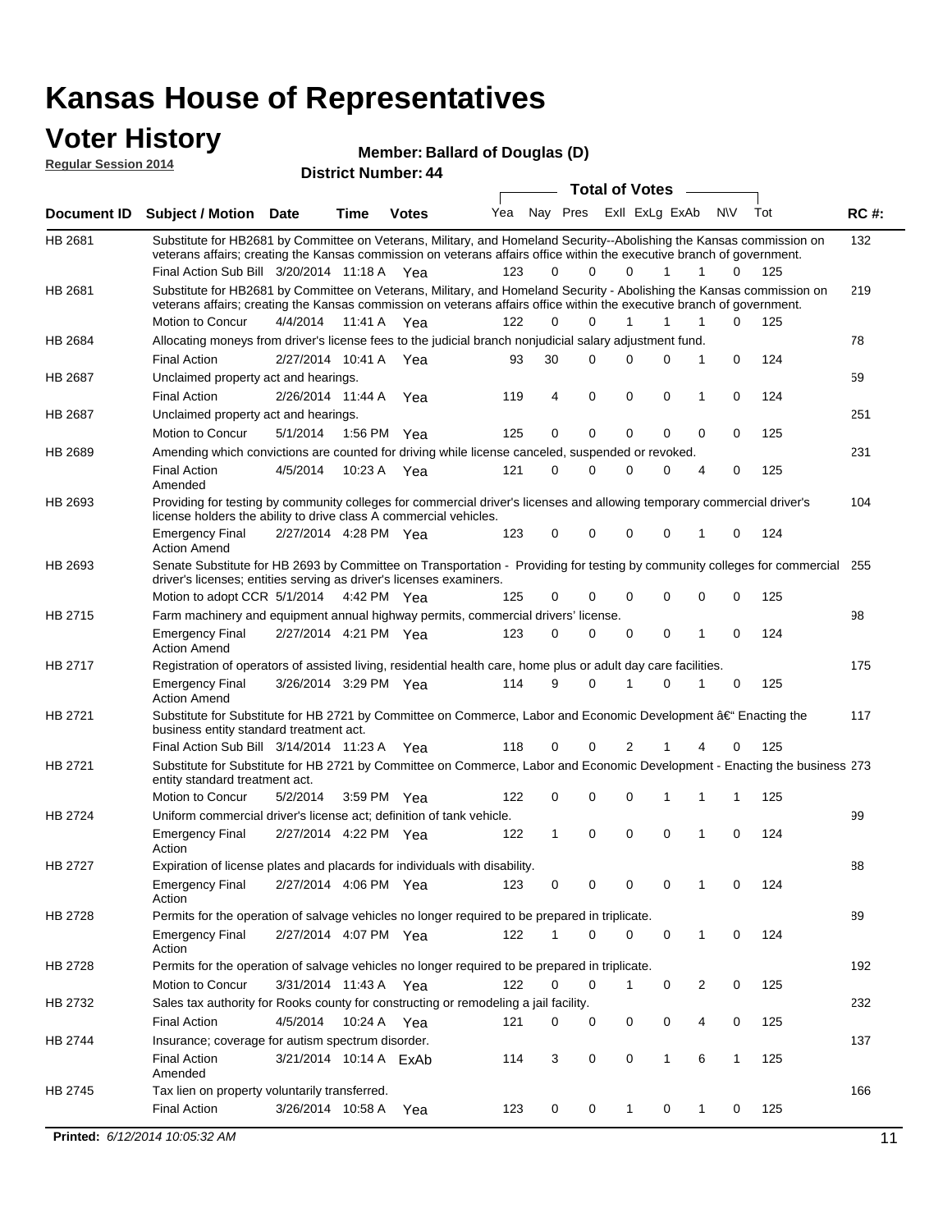#### **Voter History Regular Session 2014**

| Member: Ballard of Douglas (D) |  |  |  |
|--------------------------------|--|--|--|
|--------------------------------|--|--|--|

| noguidi ocoololi 4014 |                                                                                                                                                                                                                                                 |                       |             | <b>District Number: 44</b> |     |          |             |                       |                |                |           |     |             |
|-----------------------|-------------------------------------------------------------------------------------------------------------------------------------------------------------------------------------------------------------------------------------------------|-----------------------|-------------|----------------------------|-----|----------|-------------|-----------------------|----------------|----------------|-----------|-----|-------------|
|                       |                                                                                                                                                                                                                                                 |                       |             |                            |     |          |             | <b>Total of Votes</b> |                |                |           |     |             |
| Document ID           | <b>Subject / Motion Date</b>                                                                                                                                                                                                                    |                       | <b>Time</b> | <b>Votes</b>               | Yea |          | Nay Pres    |                       | Exll ExLg ExAb |                | <b>NV</b> | Tot | <b>RC#:</b> |
| HB 2681               | Substitute for HB2681 by Committee on Veterans, Military, and Homeland Security--Abolishing the Kansas commission on<br>veterans affairs; creating the Kansas commission on veterans affairs office within the executive branch of government.  |                       |             |                            |     |          |             |                       |                |                |           |     | 132         |
|                       | Final Action Sub Bill 3/20/2014 11:18 A Yea                                                                                                                                                                                                     |                       |             |                            | 123 | 0        | 0           | $\Omega$              | 1              | 1              | 0         | 125 |             |
| HB 2681               | Substitute for HB2681 by Committee on Veterans, Military, and Homeland Security - Abolishing the Kansas commission on<br>veterans affairs; creating the Kansas commission on veterans affairs office within the executive branch of government. |                       |             |                            |     |          |             |                       |                |                |           |     | 219         |
|                       | Motion to Concur                                                                                                                                                                                                                                | 4/4/2014              | 11:41 A     | Yea                        | 122 | $\Omega$ | 0           | 1                     | 1              | 1              | 0         | 125 |             |
| HB 2684               | Allocating moneys from driver's license fees to the judicial branch nonjudicial salary adjustment fund.                                                                                                                                         |                       |             |                            |     |          |             |                       |                |                |           |     | 78          |
|                       | <b>Final Action</b>                                                                                                                                                                                                                             | 2/27/2014 10:41 A     |             | Yea                        | 93  | 30       | $\Omega$    | 0                     | 0              | 1              | 0         | 124 |             |
| <b>HB 2687</b>        | Unclaimed property act and hearings.                                                                                                                                                                                                            |                       |             |                            |     |          |             |                       |                |                |           |     | 59          |
|                       | <b>Final Action</b>                                                                                                                                                                                                                             | 2/26/2014 11:44 A     |             | Yea                        | 119 | 4        | $\mathbf 0$ | $\mathbf 0$           | 0              | 1              | 0         | 124 |             |
| HB 2687               | Unclaimed property act and hearings.                                                                                                                                                                                                            |                       |             |                            |     |          |             |                       |                |                |           |     | 251         |
|                       | Motion to Concur                                                                                                                                                                                                                                | 5/1/2014              | 1:56 PM     | Yea                        | 125 | 0        | 0           | $\mathbf 0$           | 0              | 0              | 0         | 125 |             |
| HB 2689               | Amending which convictions are counted for driving while license canceled, suspended or revoked.                                                                                                                                                |                       |             |                            |     |          |             |                       |                |                |           |     | 231         |
|                       | <b>Final Action</b><br>Amended                                                                                                                                                                                                                  | 4/5/2014              | 10:23 A     | Yea                        | 121 | 0        | 0           | 0                     | 0              | $\overline{4}$ | 0         | 125 |             |
| HB 2693               | Providing for testing by community colleges for commercial driver's licenses and allowing temporary commercial driver's<br>license holders the ability to drive class A commercial vehicles.                                                    |                       |             |                            |     |          |             |                       |                |                |           |     | 104         |
|                       | <b>Emergency Final</b><br><b>Action Amend</b>                                                                                                                                                                                                   | 2/27/2014 4:28 PM Yea |             |                            | 123 | 0        | 0           | $\Omega$              | 0              | 1              | 0         | 124 |             |
| HB 2693               | Senate Substitute for HB 2693 by Committee on Transportation - Providing for testing by community colleges for commercial 255<br>driver's licenses; entities serving as driver's licenses examiners.                                            |                       |             |                            |     |          |             |                       |                |                |           |     |             |
|                       | Motion to adopt CCR 5/1/2014                                                                                                                                                                                                                    |                       |             | 4:42 PM Yea                | 125 | 0        | 0           | 0                     | 0              | 0              | 0         | 125 |             |
| HB 2715               | Farm machinery and equipment annual highway permits, commercial drivers' license.                                                                                                                                                               |                       |             |                            |     |          |             |                       |                |                |           |     | 98          |
|                       | <b>Emergency Final</b><br><b>Action Amend</b>                                                                                                                                                                                                   | 2/27/2014 4:21 PM Yea |             |                            | 123 | 0        | 0           | 0                     | 0              | 1              | 0         | 124 |             |
| HB 2717               | Registration of operators of assisted living, residential health care, home plus or adult day care facilities.                                                                                                                                  |                       |             |                            |     |          |             |                       |                |                |           |     | 175         |
|                       | <b>Emergency Final</b><br><b>Action Amend</b>                                                                                                                                                                                                   | 3/26/2014 3:29 PM Yea |             |                            | 114 | 9        | 0           | 1                     | 0              |                | 0         | 125 |             |
| HB 2721               | Substitute for Substitute for HB 2721 by Committee on Commerce, Labor and Economic Development †Enacting the<br>business entity standard treatment act.                                                                                         |                       |             |                            |     |          |             |                       |                |                |           |     | 117         |
|                       | Final Action Sub Bill 3/14/2014 11:23 A Yea                                                                                                                                                                                                     |                       |             |                            | 118 | 0        | 0           | 2                     |                | 4              | 0         | 125 |             |
| HB 2721               | Substitute for Substitute for HB 2721 by Committee on Commerce, Labor and Economic Development - Enacting the business 273<br>entity standard treatment act.                                                                                    |                       |             |                            |     |          |             |                       |                |                |           |     |             |
|                       | <b>Motion to Concur</b>                                                                                                                                                                                                                         | 5/2/2014              |             | 3:59 PM Yea                | 122 | 0        | 0           | 0                     |                | 1              | 1         | 125 |             |
| HB 2724               | Uniform commercial driver's license act; definition of tank vehicle.                                                                                                                                                                            |                       |             |                            |     |          |             |                       |                |                |           |     | 99          |
|                       | <b>Emergency Final</b><br>Action                                                                                                                                                                                                                | 2/27/2014 4:22 PM Yea |             |                            | 122 | 1        | 0           | 0                     | 0              | 1              | 0         | 124 |             |
| HB 2727               | Expiration of license plates and placards for individuals with disability.                                                                                                                                                                      |                       |             |                            |     |          |             |                       |                |                |           |     | 88          |
|                       | <b>Emergency Final</b><br>Action                                                                                                                                                                                                                | 2/27/2014 4:06 PM Yea |             |                            | 123 | 0        | 0           | 0                     | 0              | 1              | 0         | 124 |             |
| HB 2728               | Permits for the operation of salvage vehicles no longer required to be prepared in triplicate.                                                                                                                                                  |                       |             |                            |     |          |             |                       |                |                |           |     | 89          |
|                       | <b>Emergency Final</b><br>Action                                                                                                                                                                                                                | 2/27/2014 4:07 PM Yea |             |                            | 122 | 1        | 0           | 0                     | 0              | $\mathbf{1}$   | 0         | 124 |             |
| HB 2728               | Permits for the operation of salvage vehicles no longer required to be prepared in triplicate.                                                                                                                                                  |                       |             |                            |     |          |             |                       |                |                |           |     | 192         |
|                       | Motion to Concur                                                                                                                                                                                                                                | 3/31/2014 11:43 A Yea |             |                            | 122 | 0        | 0           | 1                     | 0              | $\overline{2}$ | 0         | 125 |             |
| HB 2732               | Sales tax authority for Rooks county for constructing or remodeling a jail facility.                                                                                                                                                            |                       |             |                            |     |          |             |                       |                |                |           |     | 232         |
|                       | <b>Final Action</b>                                                                                                                                                                                                                             | 4/5/2014              |             | 10:24 A Yea                | 121 | 0        | 0           | 0                     | 0              | 4              | 0         | 125 |             |
| HB 2744               | Insurance; coverage for autism spectrum disorder.                                                                                                                                                                                               |                       |             |                            |     |          |             |                       |                |                |           |     | 137         |
|                       | <b>Final Action</b><br>Amended                                                                                                                                                                                                                  |                       |             | 3/21/2014 10:14 A ExAb     | 114 | 3        | 0           | 0                     | 1              | 6              | 1         | 125 |             |
| HB 2745               | Tax lien on property voluntarily transferred.                                                                                                                                                                                                   |                       |             |                            |     |          |             |                       |                |                |           |     | 166         |
|                       | <b>Final Action</b>                                                                                                                                                                                                                             | 3/26/2014 10:58 A     |             | Yea                        | 123 | 0        | 0           | $\mathbf{1}$          | 0              | $\mathbf{1}$   | 0         | 125 |             |

**Printed:**  $6/12/2014$  10:05:32 AM 11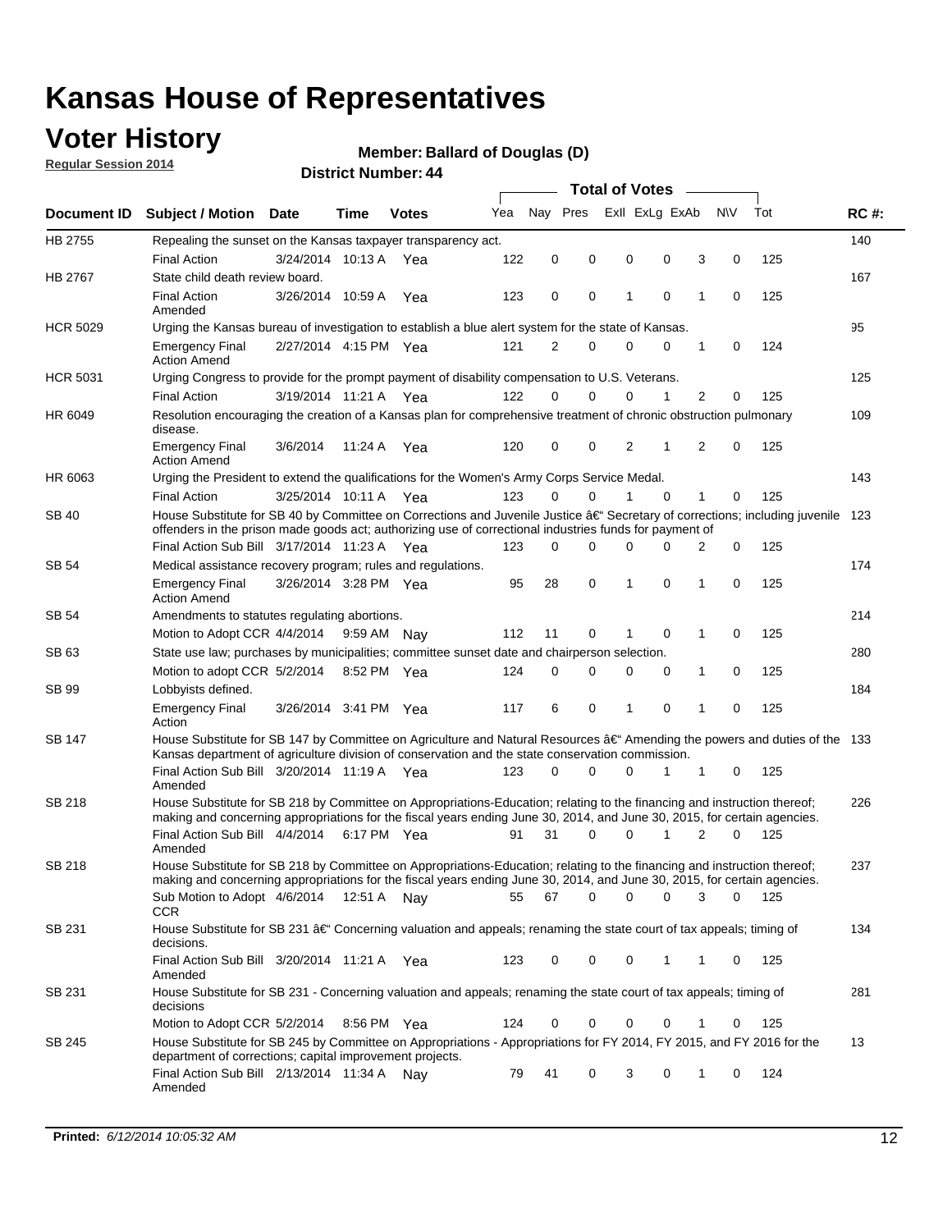### **Voter History**

**Regular Session 2014**

#### **Member: Ballard of Douglas (D)**

|                    |                                                                                                                                                                                                                                      |                       |             |              |     |             |          |   | <b>Total of Votes</b> |          |   |             |     |             |
|--------------------|--------------------------------------------------------------------------------------------------------------------------------------------------------------------------------------------------------------------------------------|-----------------------|-------------|--------------|-----|-------------|----------|---|-----------------------|----------|---|-------------|-----|-------------|
| <b>Document ID</b> | <b>Subject / Motion</b>                                                                                                                                                                                                              | <b>Date</b>           | Time        | <b>Votes</b> | Yea | Nay Pres    |          |   | Exll ExLg ExAb        |          |   | <b>NV</b>   | Tot | <b>RC#:</b> |
| HB 2755            | Repealing the sunset on the Kansas taxpayer transparency act.                                                                                                                                                                        |                       |             |              |     |             |          |   |                       |          |   |             |     | 140         |
|                    | <b>Final Action</b>                                                                                                                                                                                                                  | 3/24/2014 10:13 A     |             | Yea          | 122 | 0           | 0        |   | 0                     | 0        | 3 | 0           | 125 |             |
| HB 2767            | State child death review board.                                                                                                                                                                                                      |                       |             |              |     |             |          |   |                       |          |   |             |     | 167         |
|                    | <b>Final Action</b><br>Amended                                                                                                                                                                                                       | 3/26/2014 10:59 A     |             | Yea          | 123 | $\mathbf 0$ | 0        | 1 |                       | 0        | 1 | 0           | 125 |             |
| <b>HCR 5029</b>    | Urging the Kansas bureau of investigation to establish a blue alert system for the state of Kansas.                                                                                                                                  |                       |             |              |     |             |          |   |                       |          |   |             |     | 95          |
|                    | <b>Emergency Final</b><br><b>Action Amend</b>                                                                                                                                                                                        | 2/27/2014 4:15 PM Yea |             |              | 121 | 2           | 0        |   | 0                     | 0        | 1 | 0           | 124 |             |
| <b>HCR 5031</b>    | Urging Congress to provide for the prompt payment of disability compensation to U.S. Veterans.                                                                                                                                       |                       |             |              |     |             |          |   |                       |          |   |             |     | 125         |
|                    | <b>Final Action</b>                                                                                                                                                                                                                  | 3/19/2014 11:21 A Yea |             |              | 122 | $\Omega$    | 0        |   | 0                     | 1        | 2 | 0           | 125 |             |
| HR 6049            | Resolution encouraging the creation of a Kansas plan for comprehensive treatment of chronic obstruction pulmonary<br>disease.                                                                                                        |                       |             |              |     |             |          |   |                       |          |   |             |     | 109         |
|                    | <b>Emergency Final</b><br><b>Action Amend</b>                                                                                                                                                                                        | 3/6/2014              | 11:24 A     | Yea          | 120 | 0           | 0        |   | 2                     | 1        | 2 | 0           | 125 |             |
| HR 6063            | Urging the President to extend the qualifications for the Women's Army Corps Service Medal.                                                                                                                                          |                       |             |              |     |             |          |   |                       |          |   |             |     | 143         |
|                    | <b>Final Action</b>                                                                                                                                                                                                                  | 3/25/2014 10:11 A Yea |             |              | 123 | $\Omega$    | $\Omega$ | 1 |                       | $\Omega$ | 1 | 0           | 125 |             |
| SB 40              | House Substitute for SB 40 by Committee on Corrections and Juvenile Justice †Secretary of corrections; including juvenile<br>offenders in the prison made goods act; authorizing use of correctional industries funds for payment of |                       |             |              |     |             |          |   |                       |          |   |             |     | 123         |
|                    | Final Action Sub Bill 3/17/2014 11:23 A Yea                                                                                                                                                                                          |                       |             |              | 123 | 0           | 0        |   | 0                     | 0        | 2 | 0           | 125 |             |
| SB 54              | Medical assistance recovery program; rules and regulations.                                                                                                                                                                          |                       |             |              |     |             |          |   |                       |          |   |             |     | 174         |
|                    | <b>Emergency Final</b><br><b>Action Amend</b>                                                                                                                                                                                        | 3/26/2014 3:28 PM Yea |             |              | 95  | 28          | 0        | 1 |                       | 0        | 1 | $\mathbf 0$ | 125 |             |
| <b>SB 54</b>       | Amendments to statutes regulating abortions.                                                                                                                                                                                         |                       |             |              |     |             |          |   |                       |          |   |             |     | 214         |
|                    | Motion to Adopt CCR 4/4/2014                                                                                                                                                                                                         |                       | 9:59 AM Nay |              | 112 | 11          | 0        | 1 |                       | 0        | 1 | 0           | 125 |             |
| SB 63              | State use law; purchases by municipalities; committee sunset date and chairperson selection.                                                                                                                                         |                       |             |              |     |             |          |   |                       |          |   |             |     | 280         |
|                    | Motion to adopt CCR 5/2/2014                                                                                                                                                                                                         |                       | 8:52 PM Yea |              | 124 | $\mathbf 0$ | 0        |   | 0                     | 0        | 1 | 0           | 125 |             |
| <b>SB 99</b>       | Lobbyists defined.                                                                                                                                                                                                                   |                       |             |              |     |             |          |   |                       |          |   |             |     | 184         |
|                    | <b>Emergency Final</b><br>Action                                                                                                                                                                                                     | 3/26/2014 3:41 PM Yea |             |              | 117 | 6           | 0        | 1 |                       | 0        | 1 | 0           | 125 |             |
| SB 147             | House Substitute for SB 147 by Committee on Agriculture and Natural Resources †Amending the powers and duties of the 133<br>Kansas department of agriculture division of conservation and the state conservation commission.         |                       |             |              |     |             |          |   |                       |          |   |             |     |             |
|                    | Final Action Sub Bill 3/20/2014 11:19 A Yea<br>Amended                                                                                                                                                                               |                       |             |              | 123 | 0           | 0        |   | 0                     | 1        | 1 | 0           | 125 |             |
| SB 218             | House Substitute for SB 218 by Committee on Appropriations-Education; relating to the financing and instruction thereof;                                                                                                             |                       |             |              |     |             |          |   |                       |          |   |             |     | 226         |
|                    | making and concerning appropriations for the fiscal years ending June 30, 2014, and June 30, 2015, for certain agencies.<br>Final Action Sub Bill 4/4/2014 6:17 PM Yea                                                               |                       |             |              | 91  | 31          | 0        |   | 0                     | 1        | 2 | 0           | 125 |             |
|                    | Amended                                                                                                                                                                                                                              |                       |             |              |     |             |          |   |                       |          |   |             |     |             |
| SB 218             | House Substitute for SB 218 by Committee on Appropriations-Education; relating to the financing and instruction thereof;                                                                                                             |                       |             |              |     |             |          |   |                       |          |   |             |     | 237         |
|                    | making and concerning appropriations for the fiscal years ending June 30, 2014, and June 30, 2015, for certain agencies.                                                                                                             |                       |             |              |     |             |          |   |                       |          |   |             |     |             |
|                    | Sub Motion to Adopt 4/6/2014 12:51 A Nay                                                                                                                                                                                             |                       |             |              | 55  | 67          | 0        |   | 0                     | 0        | 3 | 0           | 125 |             |
| SB 231             | <b>CCR</b><br>House Substitute for SB 231 †Concerning valuation and appeals; renaming the state court of tax appeals; timing of                                                                                                      |                       |             |              |     |             |          |   |                       |          |   |             |     | 134         |
|                    | decisions.<br>Final Action Sub Bill 3/20/2014 11:21 A Yea                                                                                                                                                                            |                       |             |              | 123 | 0           | 0        |   | 0                     | 1        | 1 | 0           | 125 |             |
|                    | Amended                                                                                                                                                                                                                              |                       |             |              |     |             |          |   |                       |          |   |             |     |             |
| SB 231             | House Substitute for SB 231 - Concerning valuation and appeals; renaming the state court of tax appeals; timing of<br>decisions                                                                                                      |                       |             |              |     |             |          |   |                       |          |   |             |     | 281         |
|                    | Motion to Adopt CCR 5/2/2014 8:56 PM Yea                                                                                                                                                                                             |                       |             |              | 124 | 0           | 0        |   | 0                     | 0        | 1 | 0           | 125 |             |
| SB 245             | House Substitute for SB 245 by Committee on Appropriations - Appropriations for FY 2014, FY 2015, and FY 2016 for the<br>department of corrections; capital improvement projects.                                                    |                       |             |              |     |             |          |   |                       |          |   |             |     | 13          |
|                    | Final Action Sub Bill 2/13/2014 11:34 A Nay<br>Amended                                                                                                                                                                               |                       |             |              | 79  | 41          | 0        |   | 3                     | 0        | 1 | 0           | 124 |             |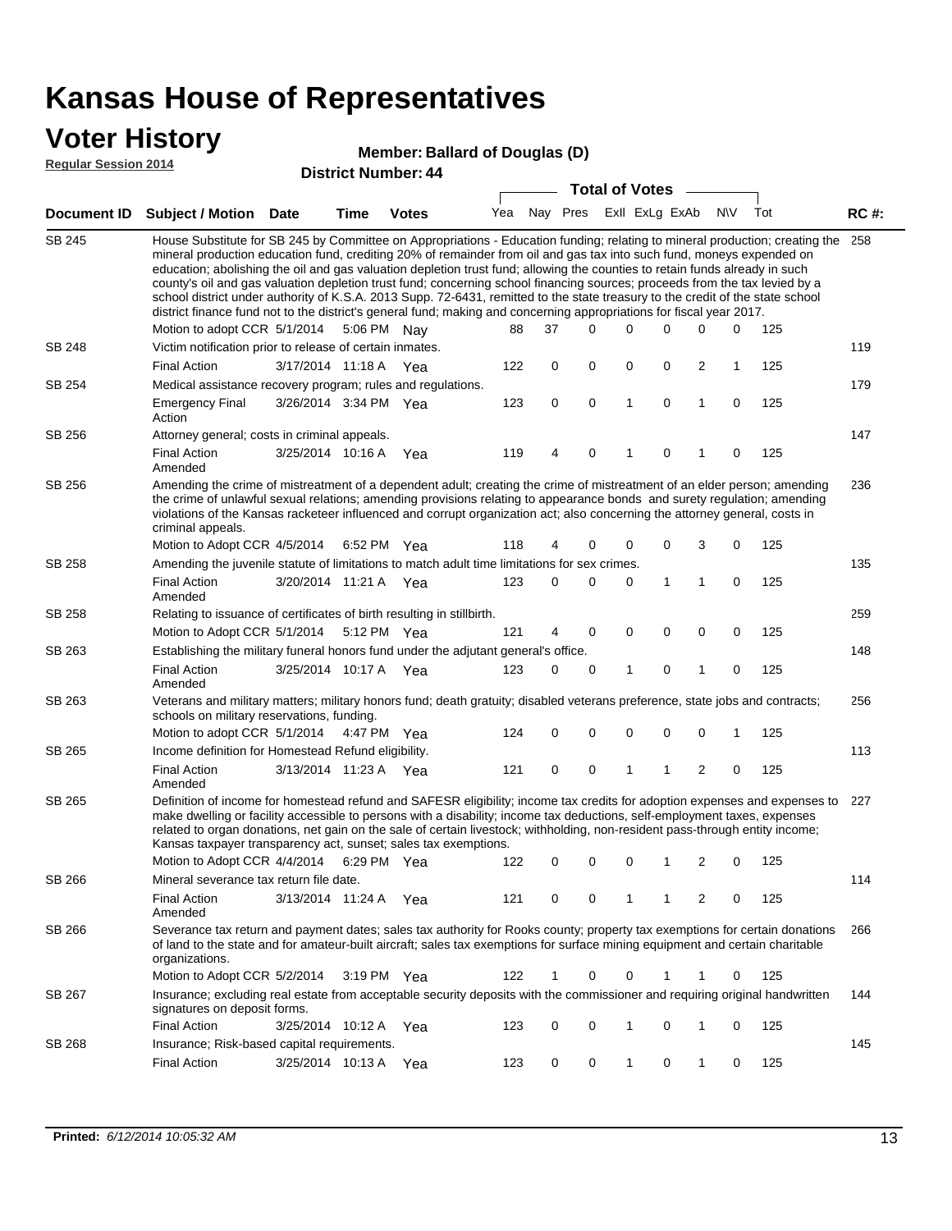### **Voter History**

#### **Member: Ballard of Douglas (D)**

**Regular Session 2014**

|               |                                                                                                                                                                                                                                                                                                                                                                                                                                                                                                                                                                                                                                                                                                                                                                                                               |                       |      | PISUIGLINUIIIDEL. 44 |     |          |          | <b>Total of Votes</b> |                |                         |           |     |             |
|---------------|---------------------------------------------------------------------------------------------------------------------------------------------------------------------------------------------------------------------------------------------------------------------------------------------------------------------------------------------------------------------------------------------------------------------------------------------------------------------------------------------------------------------------------------------------------------------------------------------------------------------------------------------------------------------------------------------------------------------------------------------------------------------------------------------------------------|-----------------------|------|----------------------|-----|----------|----------|-----------------------|----------------|-------------------------|-----------|-----|-------------|
|               | Document ID Subject / Motion                                                                                                                                                                                                                                                                                                                                                                                                                                                                                                                                                                                                                                                                                                                                                                                  | Date                  | Time | <b>Votes</b>         | Yea | Nay Pres |          |                       | Exll ExLg ExAb |                         | <b>NV</b> | Tot | <b>RC#:</b> |
| <b>SB 245</b> | House Substitute for SB 245 by Committee on Appropriations - Education funding; relating to mineral production; creating the<br>mineral production education fund, crediting 20% of remainder from oil and gas tax into such fund, moneys expended on<br>education; abolishing the oil and gas valuation depletion trust fund; allowing the counties to retain funds already in such<br>county's oil and gas valuation depletion trust fund; concerning school financing sources; proceeds from the tax levied by a<br>school district under authority of K.S.A. 2013 Supp. 72-6431, remitted to the state treasury to the credit of the state school<br>district finance fund not to the district's general fund; making and concerning appropriations for fiscal year 2017.<br>Motion to adopt CCR 5/1/2014 |                       |      | 5:06 PM Nay          | 88  | 37       | $\Omega$ | 0                     | 0              | 0                       | 0         | 125 | 258         |
| SB 248        | Victim notification prior to release of certain inmates.                                                                                                                                                                                                                                                                                                                                                                                                                                                                                                                                                                                                                                                                                                                                                      |                       |      |                      |     |          |          |                       |                |                         |           |     | 119         |
|               | <b>Final Action</b>                                                                                                                                                                                                                                                                                                                                                                                                                                                                                                                                                                                                                                                                                                                                                                                           | 3/17/2014 11:18 A Yea |      |                      | 122 | 0        | 0        | 0                     | 0              | $\overline{2}$          | 1         | 125 |             |
| SB 254        | Medical assistance recovery program; rules and regulations.                                                                                                                                                                                                                                                                                                                                                                                                                                                                                                                                                                                                                                                                                                                                                   |                       |      |                      |     |          |          |                       |                |                         |           |     | 179         |
|               | <b>Emergency Final</b><br>Action                                                                                                                                                                                                                                                                                                                                                                                                                                                                                                                                                                                                                                                                                                                                                                              | 3/26/2014 3:34 PM Yea |      |                      | 123 | 0        | 0        | $\mathbf{1}$          | 0              | $\mathbf{1}$            | 0         | 125 |             |
| SB 256        | Attorney general; costs in criminal appeals.                                                                                                                                                                                                                                                                                                                                                                                                                                                                                                                                                                                                                                                                                                                                                                  |                       |      |                      |     |          |          |                       |                |                         |           |     | 147         |
|               | <b>Final Action</b><br>Amended                                                                                                                                                                                                                                                                                                                                                                                                                                                                                                                                                                                                                                                                                                                                                                                | 3/25/2014 10:16 A     |      | Yea                  | 119 | 4        | 0        | 1                     | 0              | 1                       | 0         | 125 |             |
| SB 256        | Amending the crime of mistreatment of a dependent adult; creating the crime of mistreatment of an elder person; amending<br>the crime of unlawful sexual relations; amending provisions relating to appearance bonds and surety regulation; amending<br>violations of the Kansas racketeer influenced and corrupt organization act; also concerning the attorney general, costs in<br>criminal appeals.                                                                                                                                                                                                                                                                                                                                                                                                       |                       |      |                      |     |          |          |                       |                |                         |           |     | 236         |
|               | Motion to Adopt CCR 4/5/2014 6:52 PM Yea                                                                                                                                                                                                                                                                                                                                                                                                                                                                                                                                                                                                                                                                                                                                                                      |                       |      |                      | 118 | 4        | 0        | 0                     | 0              | 3                       | 0         | 125 |             |
| SB 258        | Amending the juvenile statute of limitations to match adult time limitations for sex crimes.                                                                                                                                                                                                                                                                                                                                                                                                                                                                                                                                                                                                                                                                                                                  |                       |      |                      |     |          |          |                       |                |                         |           |     | 135         |
|               | <b>Final Action</b><br>Amended                                                                                                                                                                                                                                                                                                                                                                                                                                                                                                                                                                                                                                                                                                                                                                                | 3/20/2014 11:21 A Yea |      |                      | 123 | 0        | 0        | 0                     | 1              | 1                       | 0         | 125 |             |
| SB 258        | Relating to issuance of certificates of birth resulting in stillbirth.                                                                                                                                                                                                                                                                                                                                                                                                                                                                                                                                                                                                                                                                                                                                        |                       |      |                      |     |          |          |                       |                |                         |           |     | 259         |
|               | Motion to Adopt CCR 5/1/2014 5:12 PM Yea                                                                                                                                                                                                                                                                                                                                                                                                                                                                                                                                                                                                                                                                                                                                                                      |                       |      |                      | 121 | 4        | 0        | 0                     | $\mathbf 0$    | 0                       | 0         | 125 |             |
| SB 263        | Establishing the military funeral honors fund under the adjutant general's office.                                                                                                                                                                                                                                                                                                                                                                                                                                                                                                                                                                                                                                                                                                                            |                       |      |                      |     |          |          |                       |                |                         |           |     | 148         |
|               | <b>Final Action</b><br>Amended                                                                                                                                                                                                                                                                                                                                                                                                                                                                                                                                                                                                                                                                                                                                                                                | 3/25/2014 10:17 A Yea |      |                      | 123 | 0        | 0        | 1                     | 0              | 1                       | 0         | 125 |             |
| SB 263        | Veterans and military matters; military honors fund; death gratuity; disabled veterans preference, state jobs and contracts;<br>schools on military reservations, funding.                                                                                                                                                                                                                                                                                                                                                                                                                                                                                                                                                                                                                                    |                       |      |                      |     |          |          |                       |                |                         |           |     | 256         |
|               | Motion to adopt CCR 5/1/2014 4:47 PM Yea                                                                                                                                                                                                                                                                                                                                                                                                                                                                                                                                                                                                                                                                                                                                                                      |                       |      |                      | 124 | 0        | 0        | 0                     | 0              | $\mathbf 0$             | 1         | 125 |             |
| SB 265        | Income definition for Homestead Refund eligibility.                                                                                                                                                                                                                                                                                                                                                                                                                                                                                                                                                                                                                                                                                                                                                           |                       |      |                      |     |          |          |                       |                |                         |           |     | 113         |
|               | <b>Final Action</b><br>Amended                                                                                                                                                                                                                                                                                                                                                                                                                                                                                                                                                                                                                                                                                                                                                                                | 3/13/2014 11:23 A Yea |      |                      | 121 | 0        | 0        | 1                     | 1              | $\overline{\mathbf{c}}$ | 0         | 125 |             |
| SB 265        | Definition of income for homestead refund and SAFESR eligibility; income tax credits for adoption expenses and expenses to<br>make dwelling or facility accessible to persons with a disability; income tax deductions, self-employment taxes, expenses<br>related to organ donations, net gain on the sale of certain livestock; withholding, non-resident pass-through entity income;<br>Kansas taxpayer transparency act, sunset; sales tax exemptions.<br>Motion to Adopt CCR 4/4/2014                                                                                                                                                                                                                                                                                                                    |                       |      | 6:29 PM Yea          | 122 | 0        | 0        | 0                     | 1              | 2                       | 0         | 125 | 227         |
| SB 266        | Mineral severance tax return file date.                                                                                                                                                                                                                                                                                                                                                                                                                                                                                                                                                                                                                                                                                                                                                                       |                       |      |                      |     |          |          |                       |                |                         |           |     | 114         |
|               | <b>Final Action</b><br>Amended                                                                                                                                                                                                                                                                                                                                                                                                                                                                                                                                                                                                                                                                                                                                                                                | 3/13/2014 11:24 A     |      | Yea                  | 121 | 0        | 0        | 1                     | 1              | 2                       | 0         | 125 |             |
| SB 266        | Severance tax return and payment dates; sales tax authority for Rooks county; property tax exemptions for certain donations<br>of land to the state and for amateur-built aircraft; sales tax exemptions for surface mining equipment and certain charitable<br>organizations.                                                                                                                                                                                                                                                                                                                                                                                                                                                                                                                                |                       |      |                      |     |          |          |                       |                |                         |           |     | 266         |
|               | Motion to Adopt CCR 5/2/2014                                                                                                                                                                                                                                                                                                                                                                                                                                                                                                                                                                                                                                                                                                                                                                                  |                       |      | 3:19 PM Yea          | 122 | 1        | 0        | 0                     | 1              | 1                       | 0         | 125 |             |
| SB 267        | Insurance; excluding real estate from acceptable security deposits with the commissioner and requiring original handwritten<br>signatures on deposit forms.                                                                                                                                                                                                                                                                                                                                                                                                                                                                                                                                                                                                                                                   |                       |      |                      |     |          |          |                       |                |                         |           |     | 144         |
|               | <b>Final Action</b>                                                                                                                                                                                                                                                                                                                                                                                                                                                                                                                                                                                                                                                                                                                                                                                           | 3/25/2014 10:12 A     |      | Yea                  | 123 | 0        | 0        | 1                     | 0              | 1                       | 0         | 125 |             |
| SB 268        | Insurance; Risk-based capital requirements.                                                                                                                                                                                                                                                                                                                                                                                                                                                                                                                                                                                                                                                                                                                                                                   |                       |      |                      |     |          |          |                       |                |                         |           |     | 145         |
|               | <b>Final Action</b>                                                                                                                                                                                                                                                                                                                                                                                                                                                                                                                                                                                                                                                                                                                                                                                           | 3/25/2014 10:13 A     |      | Yea                  | 123 | 0        | 0        | 1                     | 0              | 1                       | 0         | 125 |             |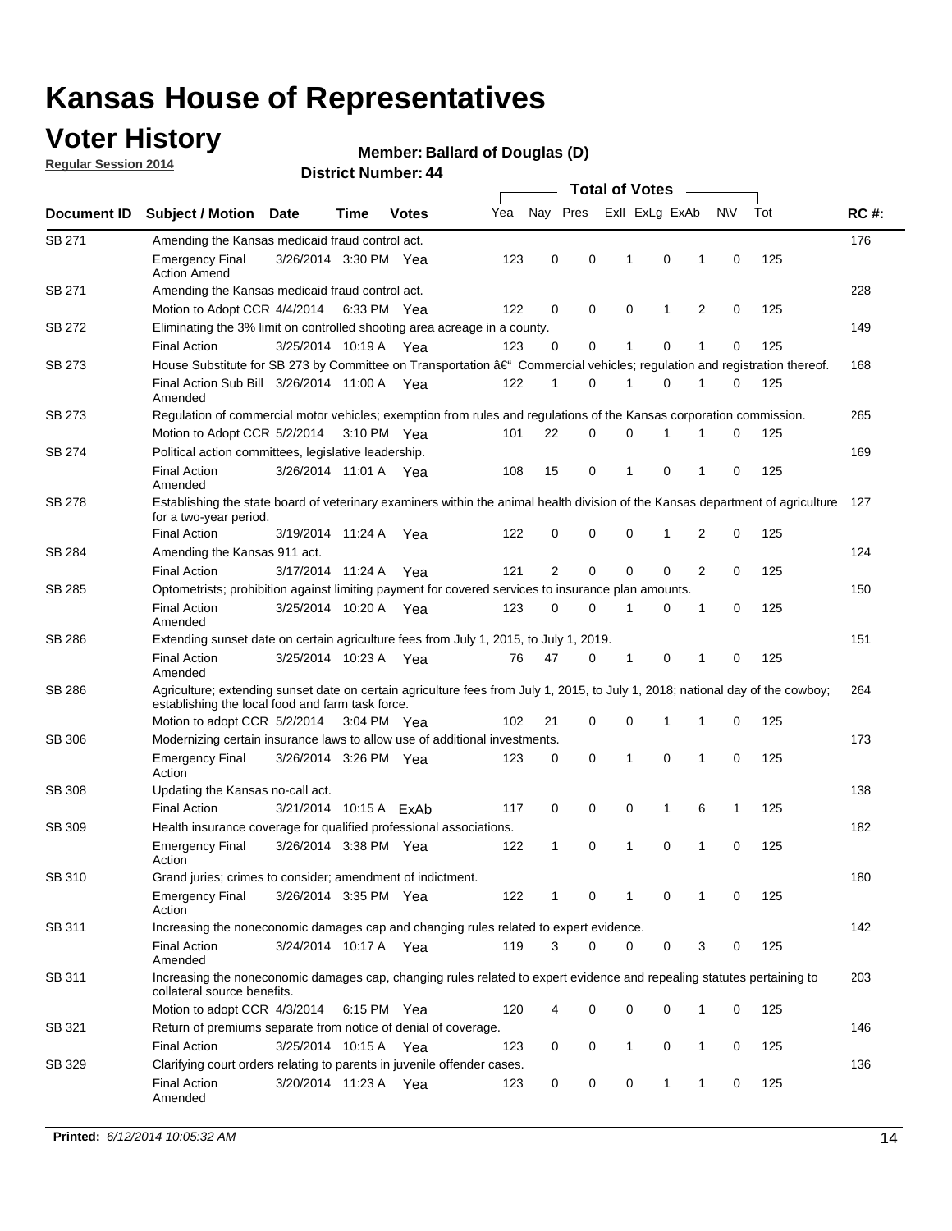### **Voter History**

**Regular Session 2014**

#### **Member: Ballard of Douglas (D)**

|               | <b>Total of Votes</b>                                                                                                                                                              |                        |      |              |     |                |          |                |              |   |             |     |             |
|---------------|------------------------------------------------------------------------------------------------------------------------------------------------------------------------------------|------------------------|------|--------------|-----|----------------|----------|----------------|--------------|---|-------------|-----|-------------|
| Document ID   | <b>Subject / Motion</b>                                                                                                                                                            | <b>Date</b>            | Time | <b>Votes</b> | Yea | Nay Pres       |          | Exll ExLg ExAb |              |   | N\V         | Tot | <b>RC#:</b> |
| SB 271        | Amending the Kansas medicaid fraud control act.                                                                                                                                    |                        |      |              |     |                |          |                |              |   |             |     | 176         |
|               | <b>Emergency Final</b><br><b>Action Amend</b>                                                                                                                                      | 3/26/2014 3:30 PM Yea  |      |              | 123 | 0              | 0        | 1              | 0            | 1 | $\mathbf 0$ | 125 |             |
| SB 271        | Amending the Kansas medicaid fraud control act.                                                                                                                                    |                        |      |              |     |                |          |                |              |   |             |     | 228         |
|               | Motion to Adopt CCR 4/4/2014 6:33 PM Yea                                                                                                                                           |                        |      |              | 122 | 0              | 0        | $\mathbf 0$    | 1            | 2 | 0           | 125 |             |
| SB 272        | Eliminating the 3% limit on controlled shooting area acreage in a county.                                                                                                          |                        |      |              |     |                |          |                |              |   |             |     | 149         |
|               | <b>Final Action</b>                                                                                                                                                                | 3/25/2014 10:19 A Yea  |      |              | 123 | 0              | 0        | 1              | 0            | 1 | $\mathbf 0$ | 125 |             |
| <b>SB 273</b> | House Substitute for SB 273 by Committee on Transportation †Commercial vehicles; regulation and registration thereof.                                                              |                        |      |              |     |                |          |                |              |   |             |     | 168         |
|               | Final Action Sub Bill 3/26/2014 11:00 A Yea<br>Amended                                                                                                                             |                        |      |              | 122 | 1              | 0        | 1              | 0            | 1 | 0           | 125 |             |
| SB 273        | Regulation of commercial motor vehicles; exemption from rules and regulations of the Kansas corporation commission.                                                                |                        |      |              |     |                |          |                |              |   |             |     | 265         |
|               | Motion to Adopt CCR 5/2/2014 3:10 PM Yea                                                                                                                                           |                        |      |              | 101 | 22             | 0        | 0              | 1            | 1 | 0           | 125 |             |
| SB 274        | Political action committees, legislative leadership.                                                                                                                               |                        |      |              |     |                |          |                |              |   |             |     | 169         |
|               | <b>Final Action</b><br>Amended                                                                                                                                                     | 3/26/2014 11:01 A Yea  |      |              | 108 | 15             | 0        | 1              | 0            | 1 | 0           | 125 |             |
| <b>SB 278</b> | Establishing the state board of veterinary examiners within the animal health division of the Kansas department of agriculture<br>for a two-year period.                           |                        |      |              |     |                |          |                |              |   |             |     | 127         |
|               | <b>Final Action</b>                                                                                                                                                                | 3/19/2014 11:24 A      |      | Yea          | 122 | 0              | 0        | 0              | $\mathbf{1}$ | 2 | $\mathbf 0$ | 125 |             |
| SB 284        | Amending the Kansas 911 act.                                                                                                                                                       |                        |      |              |     |                |          |                |              |   |             |     | 124         |
|               | <b>Final Action</b>                                                                                                                                                                | 3/17/2014 11:24 A      |      | Yea          | 121 | $\overline{2}$ | 0        | 0              | 0            | 2 | 0           | 125 |             |
| SB 285        | Optometrists; prohibition against limiting payment for covered services to insurance plan amounts.                                                                                 |                        |      |              |     |                |          |                |              |   |             |     | 150         |
|               | <b>Final Action</b><br>Amended                                                                                                                                                     | 3/25/2014 10:20 A      |      | Yea          | 123 | 0              | 0        | 1              | 0            | 1 | 0           | 125 |             |
| SB 286        | Extending sunset date on certain agriculture fees from July 1, 2015, to July 1, 2019.                                                                                              |                        |      |              |     |                |          |                |              |   |             |     | 151         |
|               | <b>Final Action</b><br>Amended                                                                                                                                                     | 3/25/2014 10:23 A Yea  |      |              | 76  | 47             | 0        | 1              | 0            | 1 | 0           | 125 |             |
| SB 286        | Agriculture; extending sunset date on certain agriculture fees from July 1, 2015, to July 1, 2018; national day of the cowboy;<br>establishing the local food and farm task force. |                        |      |              |     |                |          |                |              |   |             |     | 264         |
|               | Motion to adopt CCR 5/2/2014 3:04 PM Yea                                                                                                                                           |                        |      |              | 102 | 21             | 0        | $\mathbf 0$    | 1            | 1 | 0           | 125 |             |
| SB 306        | Modernizing certain insurance laws to allow use of additional investments.                                                                                                         |                        |      |              |     |                |          |                |              |   |             |     | 173         |
|               | <b>Emergency Final</b>                                                                                                                                                             | 3/26/2014 3:26 PM Yea  |      |              | 123 | 0              | 0        | 1              | $\mathbf 0$  | 1 | 0           | 125 |             |
|               | Action                                                                                                                                                                             |                        |      |              |     |                |          |                |              |   |             |     |             |
| <b>SB 308</b> | Updating the Kansas no-call act.                                                                                                                                                   |                        |      |              |     |                |          |                |              |   |             |     | 138         |
|               | <b>Final Action</b>                                                                                                                                                                | 3/21/2014 10:15 A ExAb |      |              | 117 | 0              | 0        | 0              | $\mathbf{1}$ | 6 | 1           | 125 |             |
| SB 309        | Health insurance coverage for qualified professional associations.                                                                                                                 |                        |      |              |     |                |          |                |              |   |             |     | 182         |
|               | <b>Emergency Final</b><br>Action                                                                                                                                                   | 3/26/2014 3:38 PM Yea  |      |              | 122 | 1              | 0        | 1              | 0            | 1 | $\mathbf 0$ | 125 |             |
| SB 310        | Grand juries; crimes to consider; amendment of indictment.                                                                                                                         |                        |      |              |     |                |          |                |              |   |             |     | 180         |
|               | <b>Emergency Final</b><br>Action                                                                                                                                                   | 3/26/2014 3:35 PM Yea  |      |              | 122 |                | 0        | 1              | 0            | 1 | 0           | 125 |             |
| SB 311        | Increasing the noneconomic damages cap and changing rules related to expert evidence.                                                                                              |                        |      |              |     |                |          |                |              |   |             |     | 142         |
|               | <b>Final Action</b><br>Amended                                                                                                                                                     | 3/24/2014 10:17 A Yea  |      |              | 119 | 3              | $\Omega$ | 0              | 0            | 3 | 0           | 125 |             |
| SB 311        | Increasing the noneconomic damages cap, changing rules related to expert evidence and repealing statutes pertaining to<br>collateral source benefits.                              |                        |      |              |     |                |          |                |              |   |             |     | 203         |
|               | Motion to adopt CCR 4/3/2014 6:15 PM Yea                                                                                                                                           |                        |      |              | 120 | 4              | 0        | 0              | 0            | 1 | 0           | 125 |             |
| SB 321        | Return of premiums separate from notice of denial of coverage.                                                                                                                     |                        |      |              |     |                |          |                |              |   |             |     | 146         |
|               | <b>Final Action</b>                                                                                                                                                                | 3/25/2014 10:15 A Yea  |      |              | 123 | 0              | 0        | 1              | 0            | 1 | 0           | 125 |             |
| SB 329        | Clarifying court orders relating to parents in juvenile offender cases.                                                                                                            |                        |      |              |     |                |          |                |              |   |             |     | 136         |
|               | <b>Final Action</b><br>Amended                                                                                                                                                     | 3/20/2014 11:23 A Yea  |      |              | 123 | 0              | 0        | 0              | $\mathbf{1}$ | 1 | 0           | 125 |             |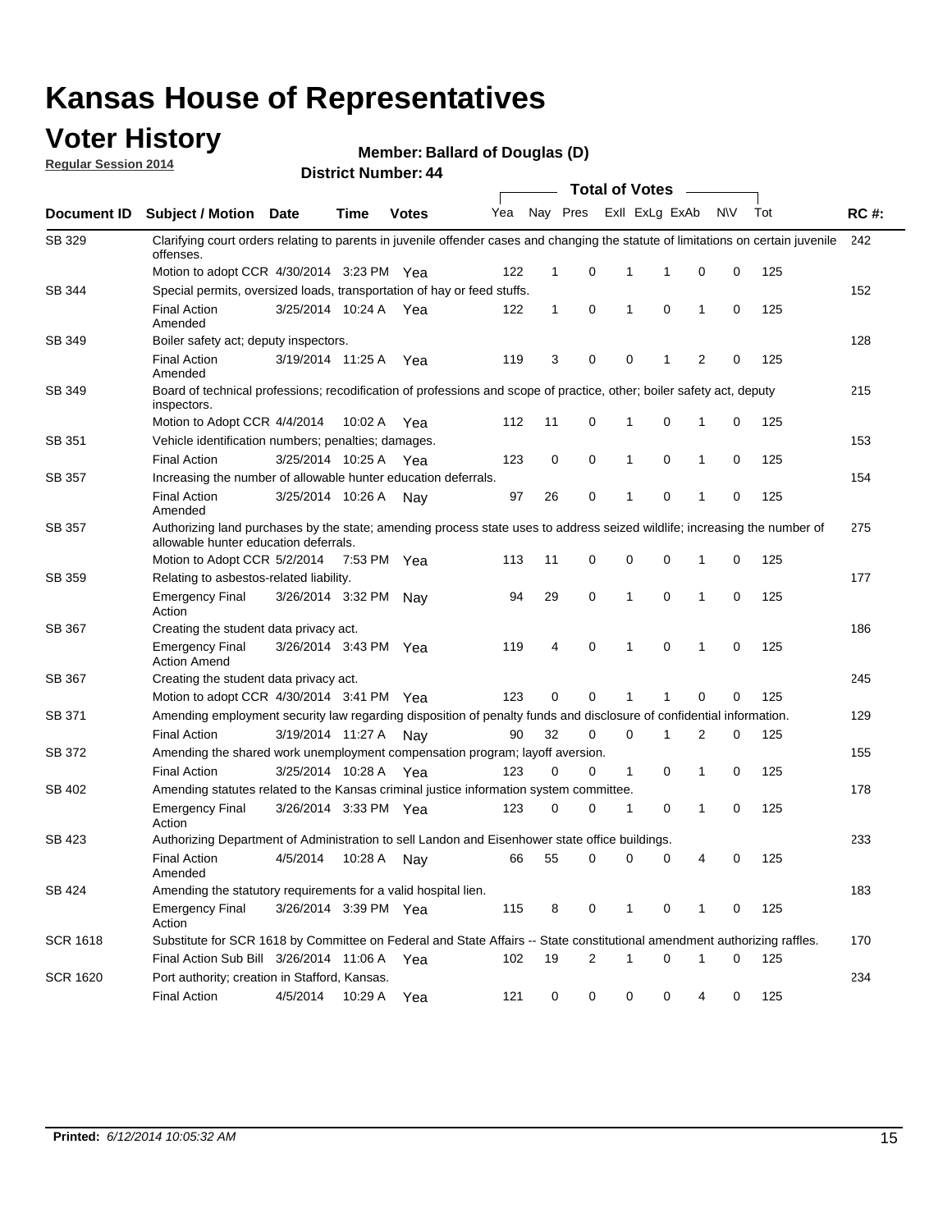### **Voter History**

**Regular Session 2014**

**Member: Ballard of Douglas (D)** 

|                    |                                                                                                                                                                    |                       |             |              |     |              |   | <b>Total of Votes</b> |                |              |           |     |             |
|--------------------|--------------------------------------------------------------------------------------------------------------------------------------------------------------------|-----------------------|-------------|--------------|-----|--------------|---|-----------------------|----------------|--------------|-----------|-----|-------------|
| <b>Document ID</b> | <b>Subject / Motion Date</b>                                                                                                                                       |                       | Time        | <b>Votes</b> | Yea | Nay Pres     |   |                       | Exll ExLg ExAb |              | <b>NV</b> | Tot | <b>RC#:</b> |
| SB 329             | Clarifying court orders relating to parents in juvenile offender cases and changing the statute of limitations on certain juvenile<br>offenses.                    |                       |             |              |     |              |   |                       |                |              |           |     | 242         |
|                    | Motion to adopt CCR 4/30/2014 3:23 PM Yea                                                                                                                          |                       |             |              | 122 | 1            | 0 | 1                     | 1              | 0            | 0         | 125 |             |
| <b>SB 344</b>      | Special permits, oversized loads, transportation of hay or feed stuffs.                                                                                            |                       |             |              |     |              |   |                       |                |              |           |     | 152         |
|                    | <b>Final Action</b><br>Amended                                                                                                                                     | 3/25/2014 10:24 A     |             | Yea          | 122 | $\mathbf{1}$ | 0 | 1                     | $\mathbf 0$    | 1            | 0         | 125 |             |
| SB 349             | Boiler safety act; deputy inspectors.                                                                                                                              |                       |             |              |     |              |   |                       |                |              |           |     | 128         |
|                    | <b>Final Action</b><br>Amended                                                                                                                                     | 3/19/2014 11:25 A     |             | Yea          | 119 | 3            | 0 | 0                     | 1              | 2            | 0         | 125 |             |
| SB 349             | Board of technical professions; recodification of professions and scope of practice, other; boiler safety act, deputy<br>inspectors.                               |                       |             |              |     |              |   |                       |                |              |           |     | 215         |
|                    | Motion to Adopt CCR 4/4/2014                                                                                                                                       |                       | 10:02 A     | Yea          | 112 | 11           | 0 | 1                     | 0              | 1            | 0         | 125 |             |
| SB 351             | Vehicle identification numbers; penalties; damages.                                                                                                                |                       |             |              |     |              |   |                       |                |              |           |     | 153         |
|                    | <b>Final Action</b>                                                                                                                                                | 3/25/2014 10:25 A     |             | Yea          | 123 | 0            | 0 | 1                     | 0              | 1            | 0         | 125 |             |
| SB 357             | Increasing the number of allowable hunter education deferrals.                                                                                                     |                       |             |              |     |              |   |                       |                |              |           |     | 154         |
|                    | <b>Final Action</b><br>Amended                                                                                                                                     | 3/25/2014 10:26 A     |             | Nav          | 97  | 26           | 0 | 1                     | 0              | 1            | 0         | 125 |             |
| SB 357             | Authorizing land purchases by the state; amending process state uses to address seized wildlife; increasing the number of<br>allowable hunter education deferrals. |                       |             |              |     |              |   |                       |                |              |           |     | 275         |
|                    | Motion to Adopt CCR 5/2/2014                                                                                                                                       |                       | 7:53 PM Yea |              | 113 | 11           | 0 | 0                     | $\mathbf 0$    | 1            | 0         | 125 |             |
| SB 359             | Relating to asbestos-related liability.                                                                                                                            |                       |             |              |     |              |   |                       |                |              |           |     | 177         |
|                    | <b>Emergency Final</b><br>Action                                                                                                                                   | 3/26/2014 3:32 PM Nay |             |              | 94  | 29           | 0 | 1                     | $\mathbf 0$    | 1            | 0         | 125 |             |
| <b>SB 367</b>      | Creating the student data privacy act.                                                                                                                             |                       |             |              |     |              |   |                       |                |              |           |     | 186         |
|                    | <b>Emergency Final</b><br><b>Action Amend</b>                                                                                                                      | 3/26/2014 3:43 PM Yea |             |              | 119 | 4            | 0 | 1                     | $\mathbf 0$    | $\mathbf{1}$ | 0         | 125 |             |
| SB 367             | Creating the student data privacy act.                                                                                                                             |                       |             |              |     |              |   |                       |                |              |           |     | 245         |
|                    | Motion to adopt CCR 4/30/2014 3:41 PM Yea                                                                                                                          |                       |             |              | 123 | 0            | 0 | 1                     |                | $\mathbf 0$  | 0         | 125 |             |
| SB 371             | Amending employment security law regarding disposition of penalty funds and disclosure of confidential information.                                                |                       |             |              |     |              |   |                       |                |              |           |     | 129         |
|                    | <b>Final Action</b>                                                                                                                                                | 3/19/2014 11:27 A     |             | Nav          | 90  | 32           | 0 | 0                     | 1              | 2            | 0         | 125 |             |
| <b>SB 372</b>      | Amending the shared work unemployment compensation program; layoff aversion.                                                                                       |                       |             |              |     |              |   |                       |                |              |           |     | 155         |
|                    | <b>Final Action</b>                                                                                                                                                | 3/25/2014 10:28 A     |             | Yea          | 123 | 0            | 0 | 1                     | 0              | 1            | 0         | 125 |             |
| SB 402             | Amending statutes related to the Kansas criminal justice information system committee.                                                                             |                       |             |              |     |              |   |                       |                |              |           |     | 178         |
|                    | <b>Emergency Final</b><br>Action                                                                                                                                   | 3/26/2014 3:33 PM Yea |             |              | 123 | 0            | 0 | 1                     | 0              | 1            | 0         | 125 |             |
| SB 423             | Authorizing Department of Administration to sell Landon and Eisenhower state office buildings.                                                                     |                       |             |              |     |              |   |                       |                |              |           |     | 233         |
|                    | <b>Final Action</b><br>Amended                                                                                                                                     | 4/5/2014              | 10:28 A     | Nay          | 66  | 55           | 0 | 0                     | 0              | 4            | 0         | 125 |             |
| SB 424             | Amending the statutory requirements for a valid hospital lien.                                                                                                     |                       |             |              |     |              |   |                       |                |              |           |     | 183         |
|                    | <b>Emergency Final</b><br>Action                                                                                                                                   | 3/26/2014 3:39 PM Yea |             |              | 115 | 8            | 0 | 1                     | 0              | 1            | 0         | 125 |             |
| SCR 1618           | Substitute for SCR 1618 by Committee on Federal and State Affairs -- State constitutional amendment authorizing raffles.                                           |                       |             |              |     |              |   |                       |                |              |           |     | 170         |
|                    | Final Action Sub Bill 3/26/2014 11:06 A Yea                                                                                                                        |                       |             |              | 102 | 19           | 2 | 1                     | $\mathbf 0$    | 1            | 0         | 125 |             |
| SCR 1620           | Port authority; creation in Stafford, Kansas.                                                                                                                      |                       |             |              |     |              |   |                       |                |              |           |     | 234         |
|                    | <b>Final Action</b>                                                                                                                                                | 4/5/2014              | 10:29 A     | Yea          | 121 | 0            | 0 | 0                     | 0              | 4            | 0         | 125 |             |